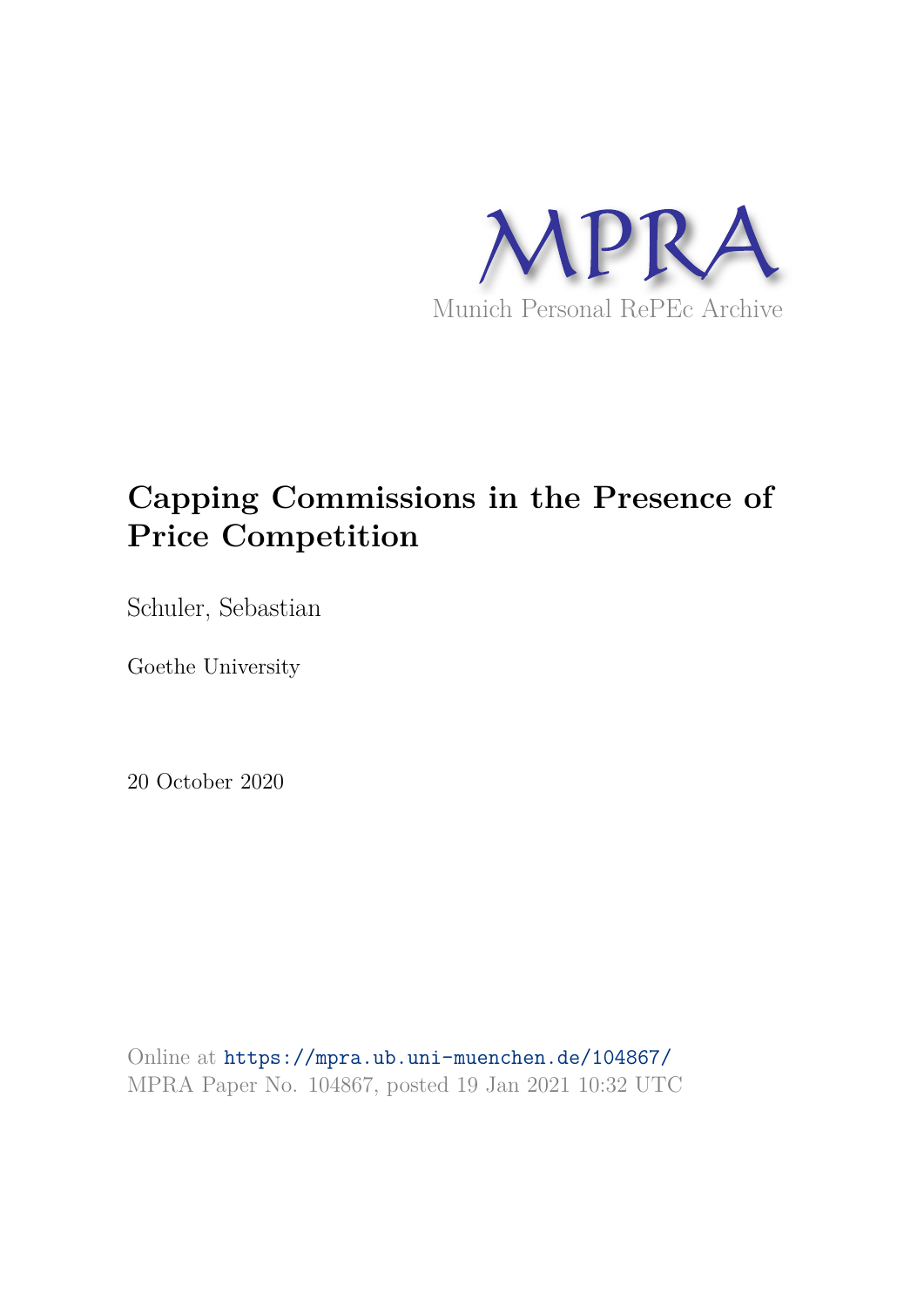

# **Capping Commissions in the Presence of Price Competition**

Schuler, Sebastian

Goethe University

20 October 2020

Online at https://mpra.ub.uni-muenchen.de/104867/ MPRA Paper No. 104867, posted 19 Jan 2021 10:32 UTC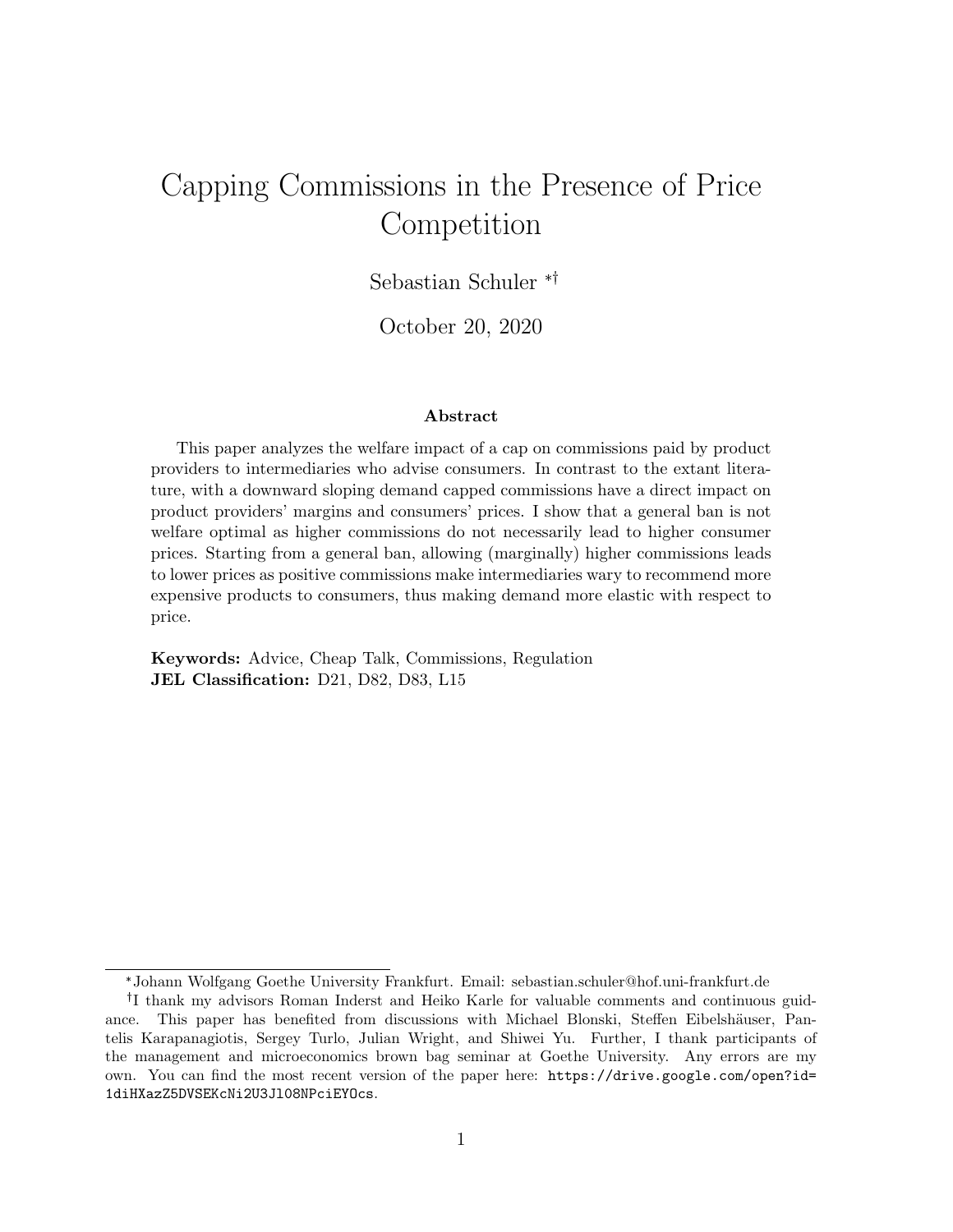# Capping Commissions in the Presence of Price Competition

Sebastian Schuler <sup>\*†</sup>

October 20, 2020

#### Abstract

This paper analyzes the welfare impact of a cap on commissions paid by product providers to intermediaries who advise consumers. In contrast to the extant literature, with a downward sloping demand capped commissions have a direct impact on product providers' margins and consumers' prices. I show that a general ban is not welfare optimal as higher commissions do not necessarily lead to higher consumer prices. Starting from a general ban, allowing (marginally) higher commissions leads to lower prices as positive commissions make intermediaries wary to recommend more expensive products to consumers, thus making demand more elastic with respect to price.

Keywords: Advice, Cheap Talk, Commissions, Regulation JEL Classification: D21, D82, D83, L15

<sup>✯</sup>Johann Wolfgang Goethe University Frankfurt. Email: sebastian.schuler@hof.uni-frankfurt.de

<sup>&</sup>lt;sup>†</sup>I thank my advisors Roman Inderst and Heiko Karle for valuable comments and continuous guidance. This paper has benefited from discussions with Michael Blonski, Steffen Eibelshäuser, Pantelis Karapanagiotis, Sergey Turlo, Julian Wright, and Shiwei Yu. Further, I thank participants of the management and microeconomics brown bag seminar at Goethe University. Any errors are my own. You can find the most recent version of the paper here: https://drive.google.com/open?id= 1diHXazZ5DVSEKcNi2U3Jl08NPciEYOcs.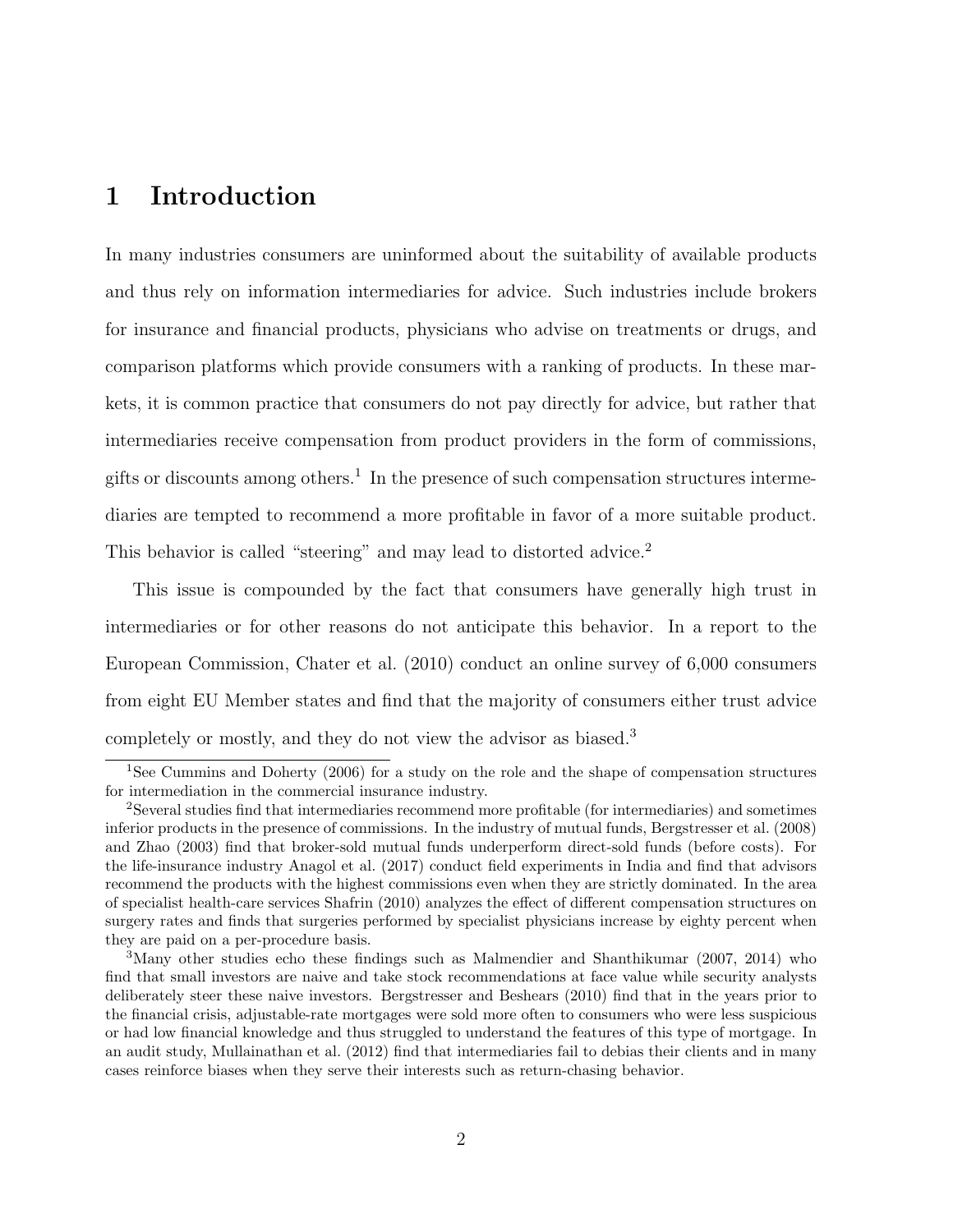### 1 Introduction

In many industries consumers are uninformed about the suitability of available products and thus rely on information intermediaries for advice. Such industries include brokers for insurance and financial products, physicians who advise on treatments or drugs, and comparison platforms which provide consumers with a ranking of products. In these markets, it is common practice that consumers do not pay directly for advice, but rather that intermediaries receive compensation from product providers in the form of commissions, gifts or discounts among others.<sup>1</sup> In the presence of such compensation structures intermediaries are tempted to recommend a more profitable in favor of a more suitable product. This behavior is called "steering" and may lead to distorted advice.<sup>2</sup>

This issue is compounded by the fact that consumers have generally high trust in intermediaries or for other reasons do not anticipate this behavior. In a report to the European Commission, Chater et al. (2010) conduct an online survey of 6,000 consumers from eight EU Member states and find that the majority of consumers either trust advice completely or mostly, and they do not view the advisor as biased.<sup>3</sup>

<sup>&</sup>lt;sup>1</sup>See Cummins and Doherty (2006) for a study on the role and the shape of compensation structures for intermediation in the commercial insurance industry.

<sup>2</sup>Several studies find that intermediaries recommend more profitable (for intermediaries) and sometimes inferior products in the presence of commissions. In the industry of mutual funds, Bergstresser et al. (2008) and Zhao (2003) find that broker-sold mutual funds underperform direct-sold funds (before costs). For the life-insurance industry Anagol et al. (2017) conduct field experiments in India and find that advisors recommend the products with the highest commissions even when they are strictly dominated. In the area of specialist health-care services Shafrin (2010) analyzes the effect of different compensation structures on surgery rates and finds that surgeries performed by specialist physicians increase by eighty percent when they are paid on a per-procedure basis.

<sup>3</sup>Many other studies echo these findings such as Malmendier and Shanthikumar (2007, 2014) who find that small investors are naive and take stock recommendations at face value while security analysts deliberately steer these naive investors. Bergstresser and Beshears (2010) find that in the years prior to the financial crisis, adjustable-rate mortgages were sold more often to consumers who were less suspicious or had low financial knowledge and thus struggled to understand the features of this type of mortgage. In an audit study, Mullainathan et al. (2012) find that intermediaries fail to debias their clients and in many cases reinforce biases when they serve their interests such as return-chasing behavior.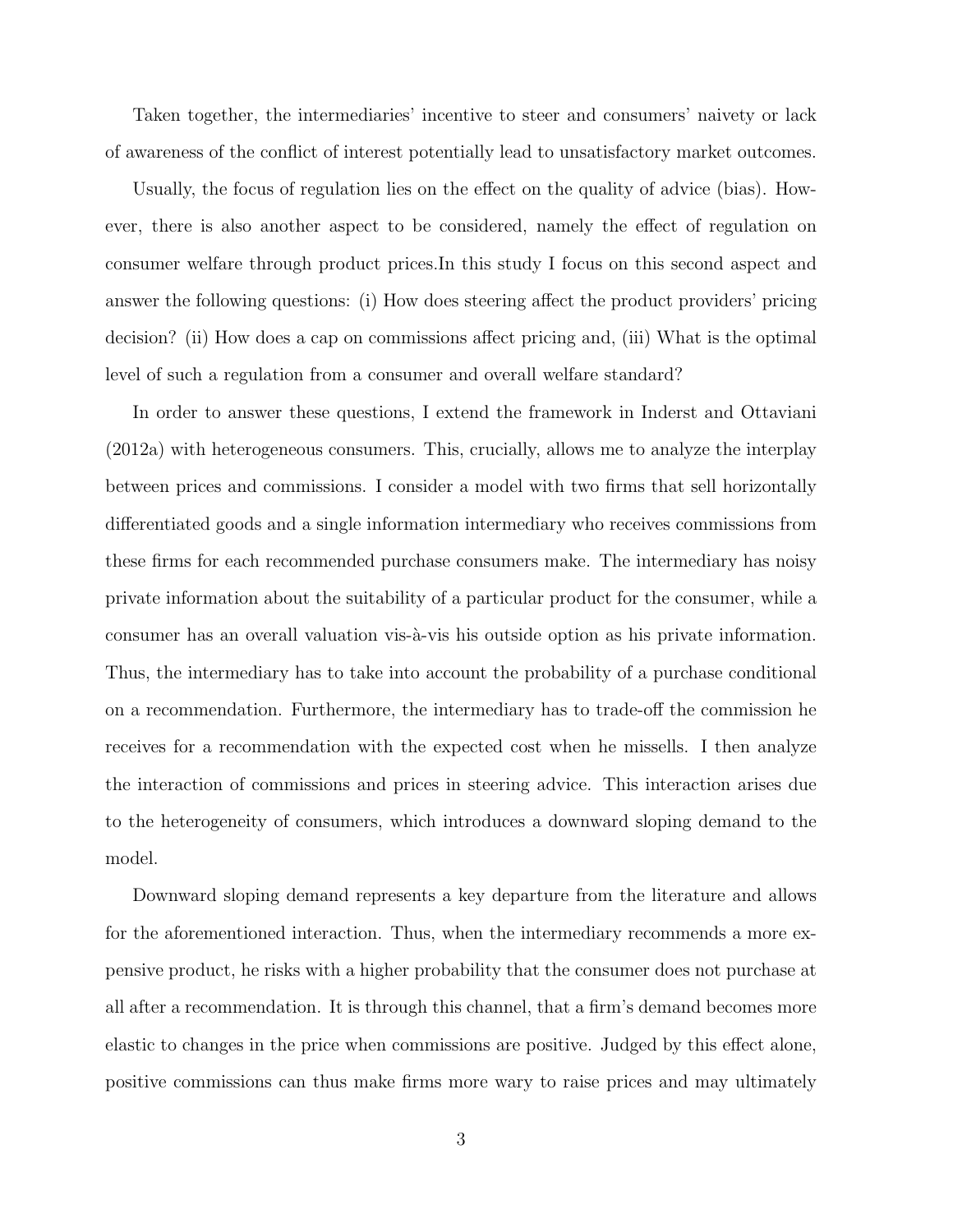Taken together, the intermediaries' incentive to steer and consumers' naivety or lack of awareness of the conflict of interest potentially lead to unsatisfactory market outcomes.

Usually, the focus of regulation lies on the effect on the quality of advice (bias). However, there is also another aspect to be considered, namely the effect of regulation on consumer welfare through product prices.In this study I focus on this second aspect and answer the following questions: (i) How does steering affect the product providers' pricing decision? (ii) How does a cap on commissions affect pricing and, (iii) What is the optimal level of such a regulation from a consumer and overall welfare standard?

In order to answer these questions, I extend the framework in Inderst and Ottaviani (2012a) with heterogeneous consumers. This, crucially, allows me to analyze the interplay between prices and commissions. I consider a model with two firms that sell horizontally differentiated goods and a single information intermediary who receives commissions from these firms for each recommended purchase consumers make. The intermediary has noisy private information about the suitability of a particular product for the consumer, while a consumer has an overall valuation vis- $\lambda$ -vis his outside option as his private information. Thus, the intermediary has to take into account the probability of a purchase conditional on a recommendation. Furthermore, the intermediary has to trade-off the commission he receives for a recommendation with the expected cost when he missells. I then analyze the interaction of commissions and prices in steering advice. This interaction arises due to the heterogeneity of consumers, which introduces a downward sloping demand to the model.

Downward sloping demand represents a key departure from the literature and allows for the aforementioned interaction. Thus, when the intermediary recommends a more expensive product, he risks with a higher probability that the consumer does not purchase at all after a recommendation. It is through this channel, that a firm's demand becomes more elastic to changes in the price when commissions are positive. Judged by this effect alone, positive commissions can thus make firms more wary to raise prices and may ultimately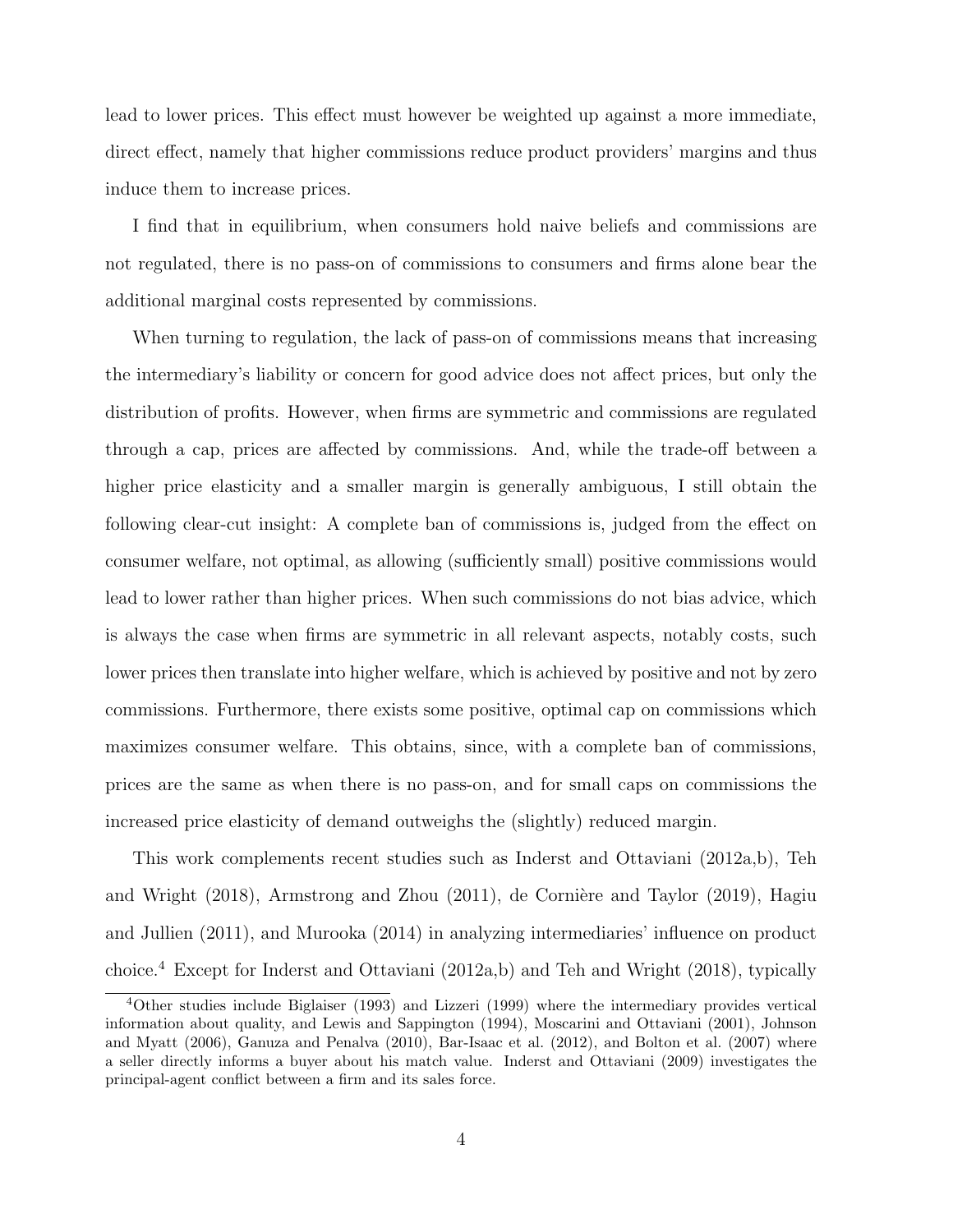lead to lower prices. This effect must however be weighted up against a more immediate, direct effect, namely that higher commissions reduce product providers' margins and thus induce them to increase prices.

I find that in equilibrium, when consumers hold naive beliefs and commissions are not regulated, there is no pass-on of commissions to consumers and firms alone bear the additional marginal costs represented by commissions.

When turning to regulation, the lack of pass-on of commissions means that increasing the intermediary's liability or concern for good advice does not affect prices, but only the distribution of profits. However, when firms are symmetric and commissions are regulated through a cap, prices are affected by commissions. And, while the trade-off between a higher price elasticity and a smaller margin is generally ambiguous, I still obtain the following clear-cut insight: A complete ban of commissions is, judged from the effect on consumer welfare, not optimal, as allowing (sufficiently small) positive commissions would lead to lower rather than higher prices. When such commissions do not bias advice, which is always the case when firms are symmetric in all relevant aspects, notably costs, such lower prices then translate into higher welfare, which is achieved by positive and not by zero commissions. Furthermore, there exists some positive, optimal cap on commissions which maximizes consumer welfare. This obtains, since, with a complete ban of commissions, prices are the same as when there is no pass-on, and for small caps on commissions the increased price elasticity of demand outweighs the (slightly) reduced margin.

This work complements recent studies such as Inderst and Ottaviani (2012a,b), Teh and Wright  $(2018)$ , Armstrong and Zhou  $(2011)$ , de Cornière and Taylor  $(2019)$ , Hagiu and Jullien (2011), and Murooka (2014) in analyzing intermediaries' influence on product choice.<sup>4</sup> Except for Inderst and Ottaviani (2012a,b) and Teh and Wright (2018), typically

<sup>4</sup>Other studies include Biglaiser (1993) and Lizzeri (1999) where the intermediary provides vertical information about quality, and Lewis and Sappington (1994), Moscarini and Ottaviani (2001), Johnson and Myatt (2006), Ganuza and Penalva (2010), Bar-Isaac et al. (2012), and Bolton et al. (2007) where a seller directly informs a buyer about his match value. Inderst and Ottaviani (2009) investigates the principal-agent conflict between a firm and its sales force.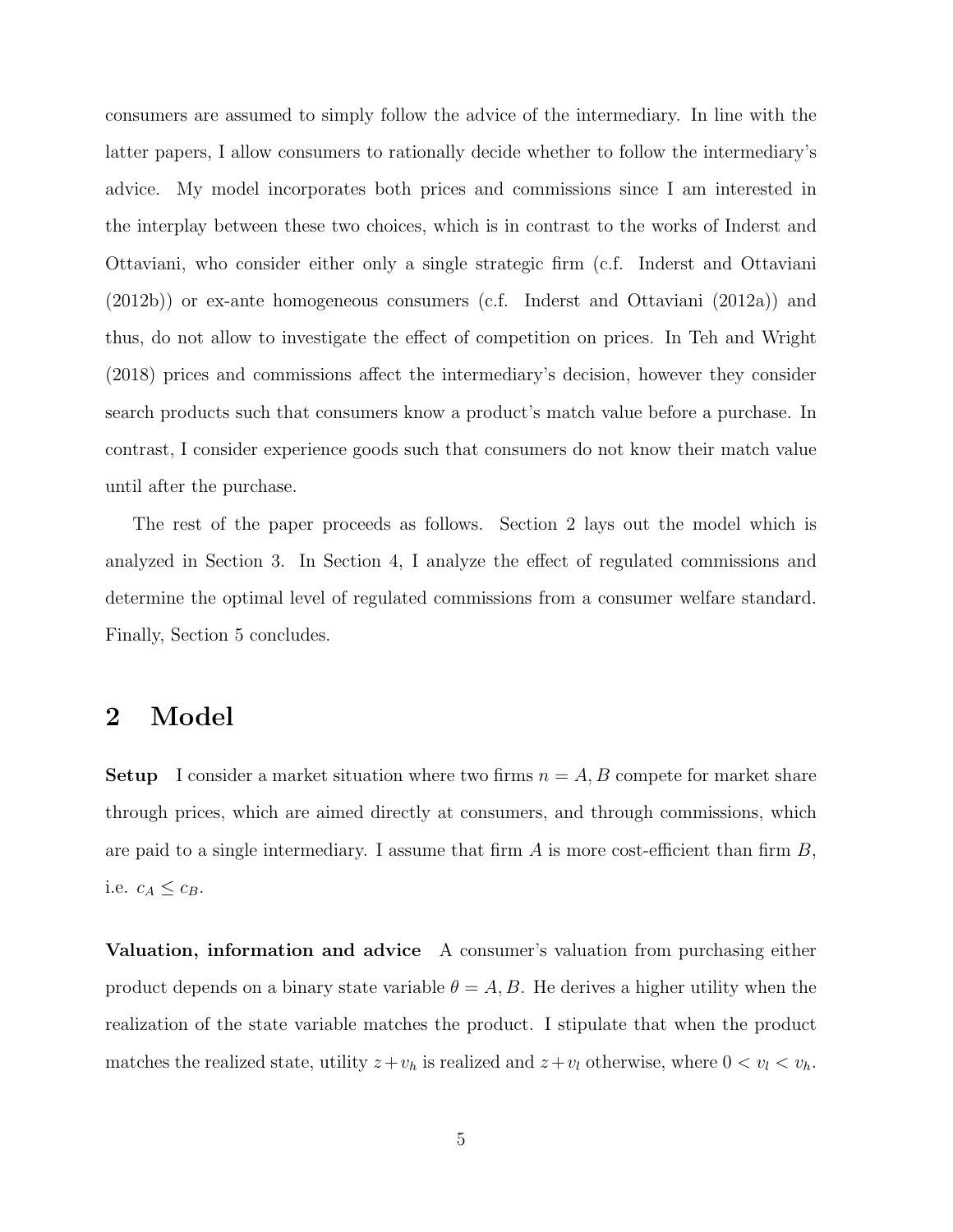consumers are assumed to simply follow the advice of the intermediary. In line with the latter papers, I allow consumers to rationally decide whether to follow the intermediary's advice. My model incorporates both prices and commissions since I am interested in the interplay between these two choices, which is in contrast to the works of Inderst and Ottaviani, who consider either only a single strategic firm (c.f. Inderst and Ottaviani (2012b)) or ex-ante homogeneous consumers (c.f. Inderst and Ottaviani (2012a)) and thus, do not allow to investigate the effect of competition on prices. In Teh and Wright (2018) prices and commissions affect the intermediary's decision, however they consider search products such that consumers know a product's match value before a purchase. In contrast, I consider experience goods such that consumers do not know their match value until after the purchase.

The rest of the paper proceeds as follows. Section 2 lays out the model which is analyzed in Section 3. In Section 4, I analyze the effect of regulated commissions and determine the optimal level of regulated commissions from a consumer welfare standard. Finally, Section 5 concludes.

#### 2 Model

**Setup** I consider a market situation where two firms  $n = A, B$  compete for market share through prices, which are aimed directly at consumers, and through commissions, which are paid to a single intermediary. I assume that firm  $A$  is more cost-efficient than firm  $B$ , i.e.  $c_A \leq c_B$ .

Valuation, information and advice A consumer's valuation from purchasing either product depends on a binary state variable  $\theta = A, B$ . He derives a higher utility when the realization of the state variable matches the product. I stipulate that when the product matches the realized state, utility  $z + v_h$  is realized and  $z + v_l$  otherwise, where  $0 < v_l < v_h$ .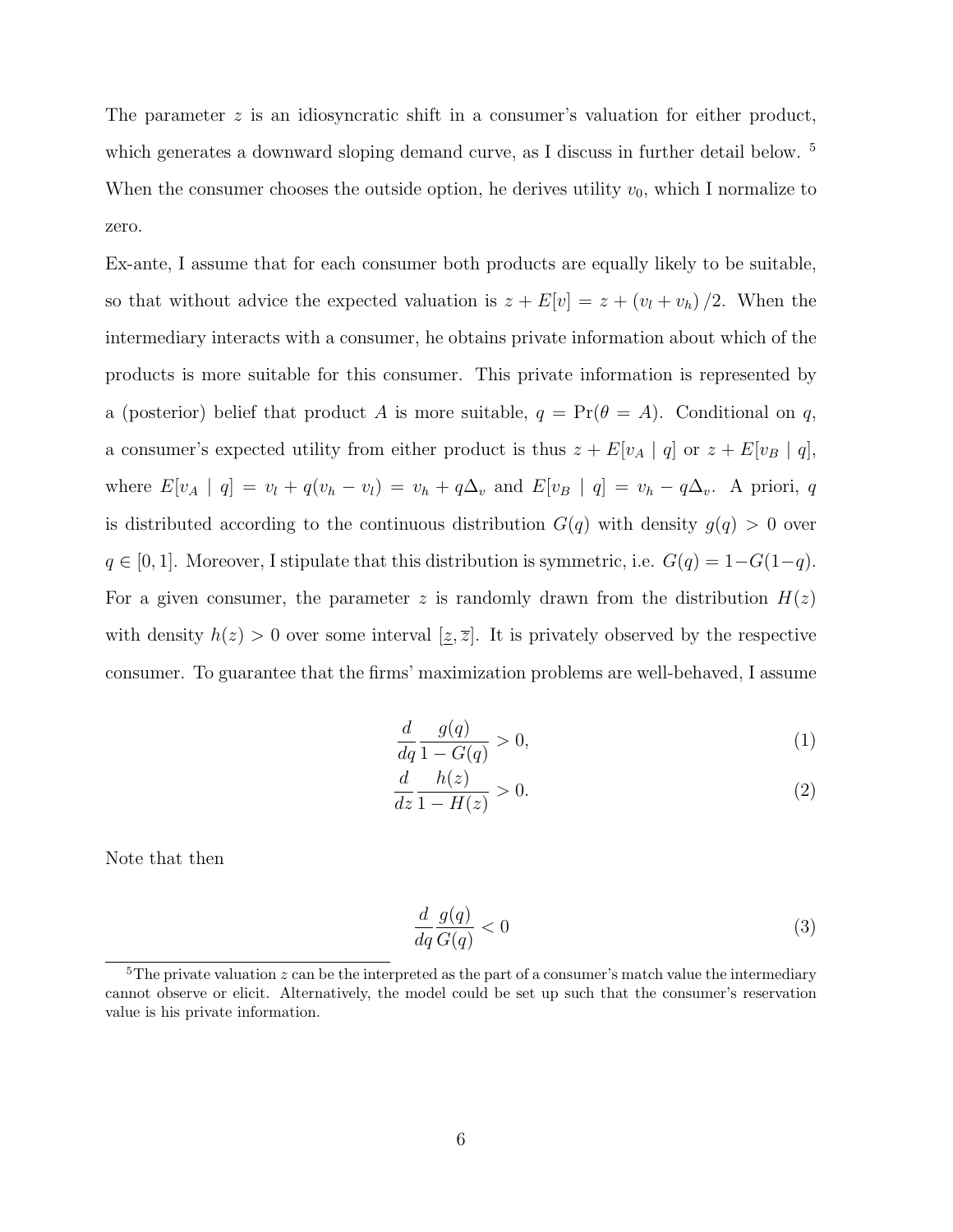The parameter  $z$  is an idiosyncratic shift in a consumer's valuation for either product, which generates a downward sloping demand curve, as I discuss in further detail below.<sup>5</sup> When the consumer chooses the outside option, he derives utility  $v_0$ , which I normalize to zero.

Ex-ante, I assume that for each consumer both products are equally likely to be suitable, so that without advice the expected valuation is  $z + E[v] = z + (v_l + v_h)/2$ . When the intermediary interacts with a consumer, he obtains private information about which of the products is more suitable for this consumer. This private information is represented by a (posterior) belief that product A is more suitable,  $q = Pr(\theta = A)$ . Conditional on q, a consumer's expected utility from either product is thus  $z + E[v_A | q]$  or  $z + E[v_B | q]$ , where  $E[v_A | q] = v_l + q(v_h - v_l) = v_h + q\Delta_v$  and  $E[v_B | q] = v_h - q\Delta_v$ . A priori, q is distributed according to the continuous distribution  $G(q)$  with density  $g(q) > 0$  over  $q \in [0, 1]$ . Moreover, I stipulate that this distribution is symmetric, i.e.  $G(q) = 1-G(1-q)$ . For a given consumer, the parameter z is randomly drawn from the distribution  $H(z)$ with density  $h(z) > 0$  over some interval  $[\underline{z}, \overline{z}]$ . It is privately observed by the respective consumer. To guarantee that the firms' maximization problems are well-behaved, I assume

$$
\frac{d}{dq}\frac{g(q)}{1-G(q)} > 0,\t\t(1)
$$

$$
\frac{d}{dz}\frac{h(z)}{1 - H(z)} > 0.\tag{2}
$$

Note that then

$$
\frac{d}{dq}\frac{g(q)}{G(q)} < 0\tag{3}
$$

<sup>&</sup>lt;sup>5</sup>The private valuation  $z$  can be the interpreted as the part of a consumer's match value the intermediary cannot observe or elicit. Alternatively, the model could be set up such that the consumer's reservation value is his private information.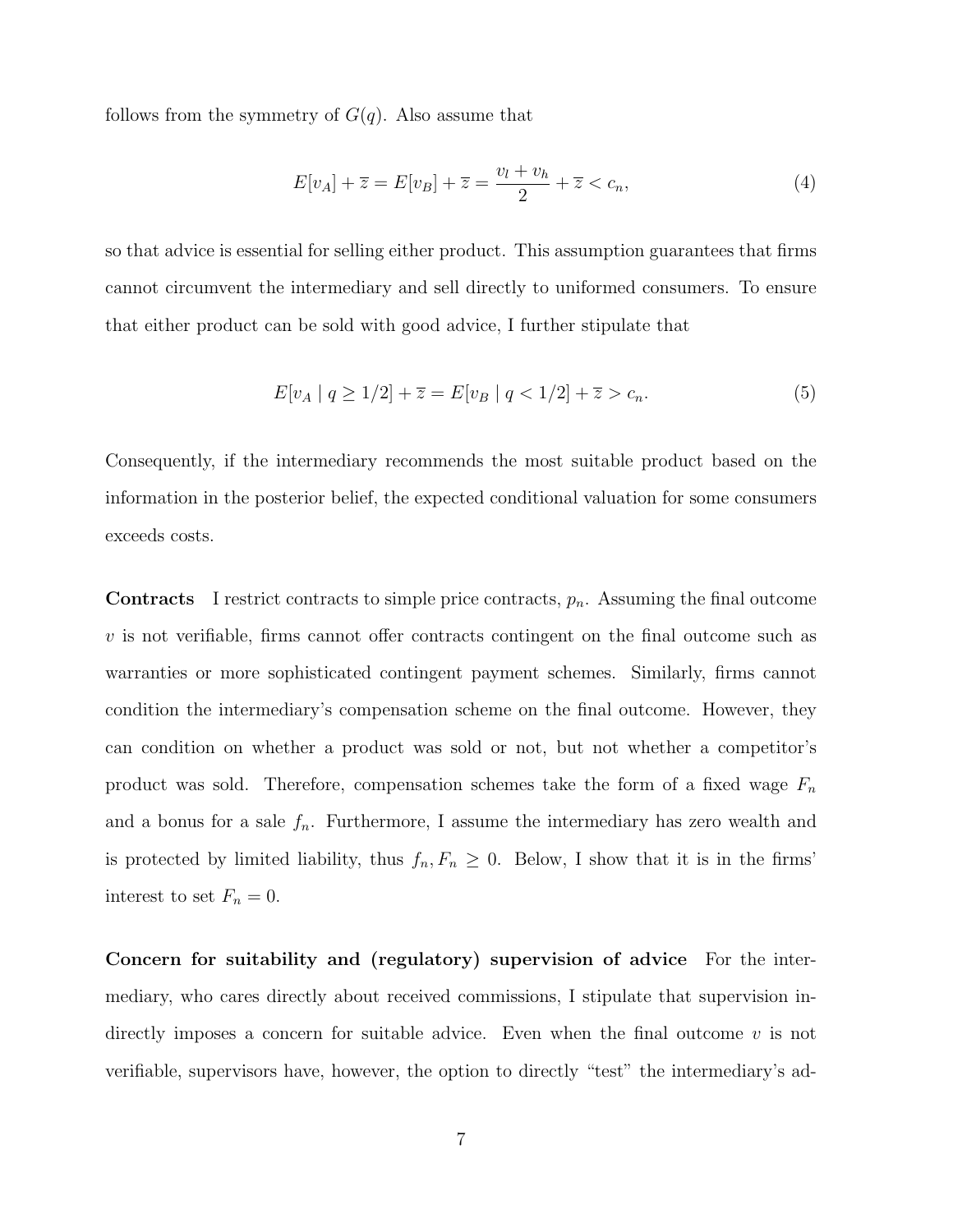follows from the symmetry of  $G(q)$ . Also assume that

$$
E[v_A] + \overline{z} = E[v_B] + \overline{z} = \frac{v_l + v_h}{2} + \overline{z} < c_n,\tag{4}
$$

so that advice is essential for selling either product. This assumption guarantees that firms cannot circumvent the intermediary and sell directly to uniformed consumers. To ensure that either product can be sold with good advice, I further stipulate that

$$
E[v_A | q \ge 1/2] + \overline{z} = E[v_B | q < 1/2] + \overline{z} > c_n. \tag{5}
$$

Consequently, if the intermediary recommends the most suitable product based on the information in the posterior belief, the expected conditional valuation for some consumers exceeds costs.

**Contracts** I restrict contracts to simple price contracts,  $p_n$ . Assuming the final outcome  $v$  is not verifiable, firms cannot offer contracts contingent on the final outcome such as warranties or more sophisticated contingent payment schemes. Similarly, firms cannot condition the intermediary's compensation scheme on the final outcome. However, they can condition on whether a product was sold or not, but not whether a competitor's product was sold. Therefore, compensation schemes take the form of a fixed wage  $F_n$ and a bonus for a sale  $f_n$ . Furthermore, I assume the intermediary has zero wealth and is protected by limited liability, thus  $f_n, F_n \geq 0$ . Below, I show that it is in the firms' interest to set  $F_n = 0$ .

Concern for suitability and (regulatory) supervision of advice For the intermediary, who cares directly about received commissions, I stipulate that supervision indirectly imposes a concern for suitable advice. Even when the final outcome  $v$  is not verifiable, supervisors have, however, the option to directly "test" the intermediary's ad-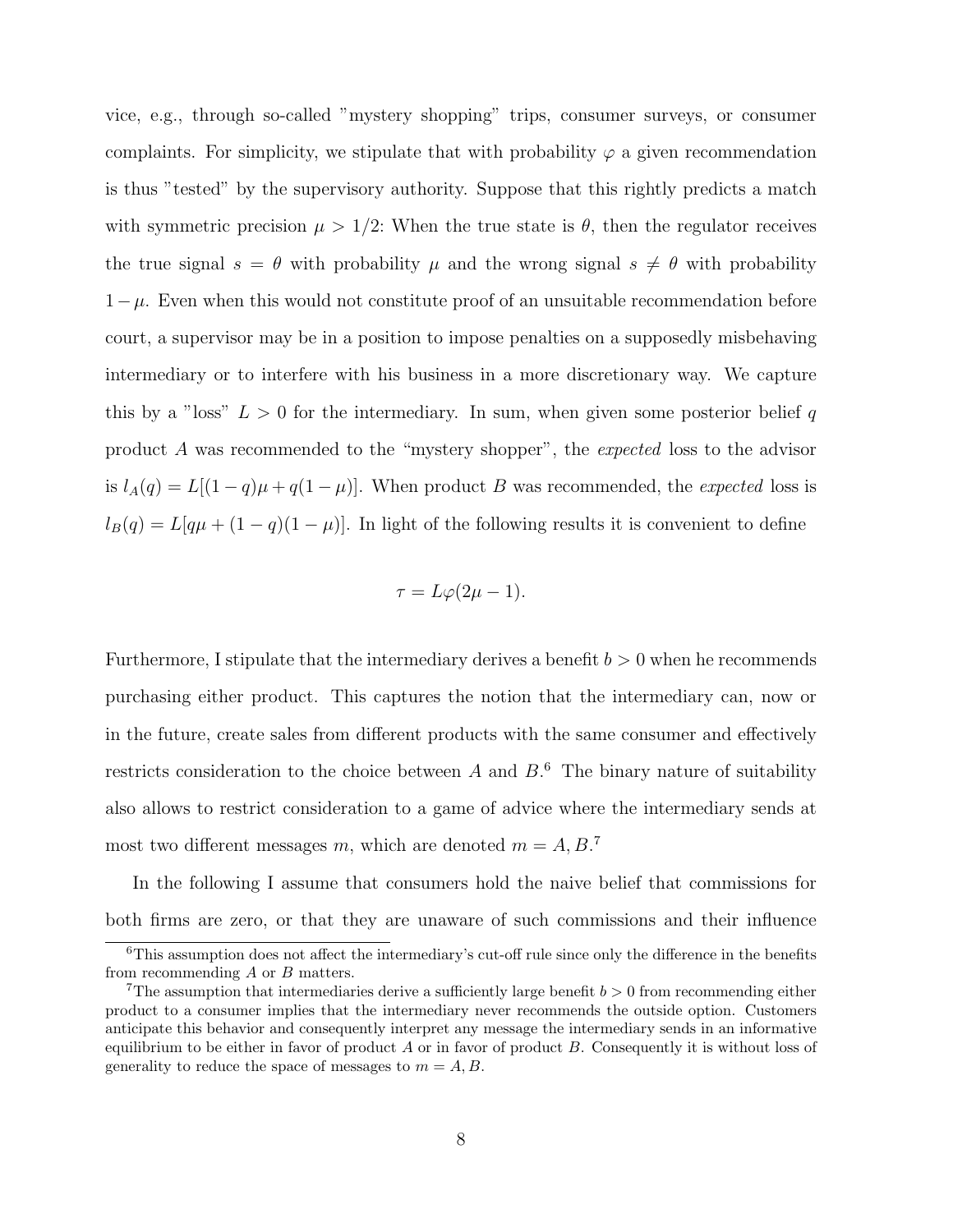vice, e.g., through so-called "mystery shopping" trips, consumer surveys, or consumer complaints. For simplicity, we stipulate that with probability  $\varphi$  a given recommendation is thus "tested" by the supervisory authority. Suppose that this rightly predicts a match with symmetric precision  $\mu > 1/2$ : When the true state is  $\theta$ , then the regulator receives the true signal  $s = \theta$  with probability  $\mu$  and the wrong signal  $s \neq \theta$  with probability  $1-\mu$ . Even when this would not constitute proof of an unsuitable recommendation before court, a supervisor may be in a position to impose penalties on a supposedly misbehaving intermediary or to interfere with his business in a more discretionary way. We capture this by a "loss"  $L > 0$  for the intermediary. In sum, when given some posterior belief q product A was recommended to the "mystery shopper", the expected loss to the advisor is  $l_A(q) = L[(1-q)\mu + q(1-\mu)]$ . When product B was recommended, the expected loss is  $l_B(q) = L[q\mu + (1 - q)(1 - \mu)].$  In light of the following results it is convenient to define

$$
\tau = L\varphi(2\mu - 1).
$$

Furthermore, I stipulate that the intermediary derives a benefit  $b > 0$  when he recommends purchasing either product. This captures the notion that the intermediary can, now or in the future, create sales from different products with the same consumer and effectively restricts consideration to the choice between  $A$  and  $B$ <sup>6</sup>. The binary nature of suitability also allows to restrict consideration to a game of advice where the intermediary sends at most two different messages m, which are denoted  $m = A, B$ <sup>7</sup>

In the following I assume that consumers hold the naive belief that commissions for both firms are zero, or that they are unaware of such commissions and their influence

<sup>&</sup>lt;sup>6</sup>This assumption does not affect the intermediary's cut-off rule since only the difference in the benefits from recommending A or B matters.

<sup>&</sup>lt;sup>7</sup>The assumption that intermediaries derive a sufficiently large benefit  $b > 0$  from recommending either product to a consumer implies that the intermediary never recommends the outside option. Customers anticipate this behavior and consequently interpret any message the intermediary sends in an informative equilibrium to be either in favor of product  $A$  or in favor of product  $B$ . Consequently it is without loss of generality to reduce the space of messages to  $m = A, B$ .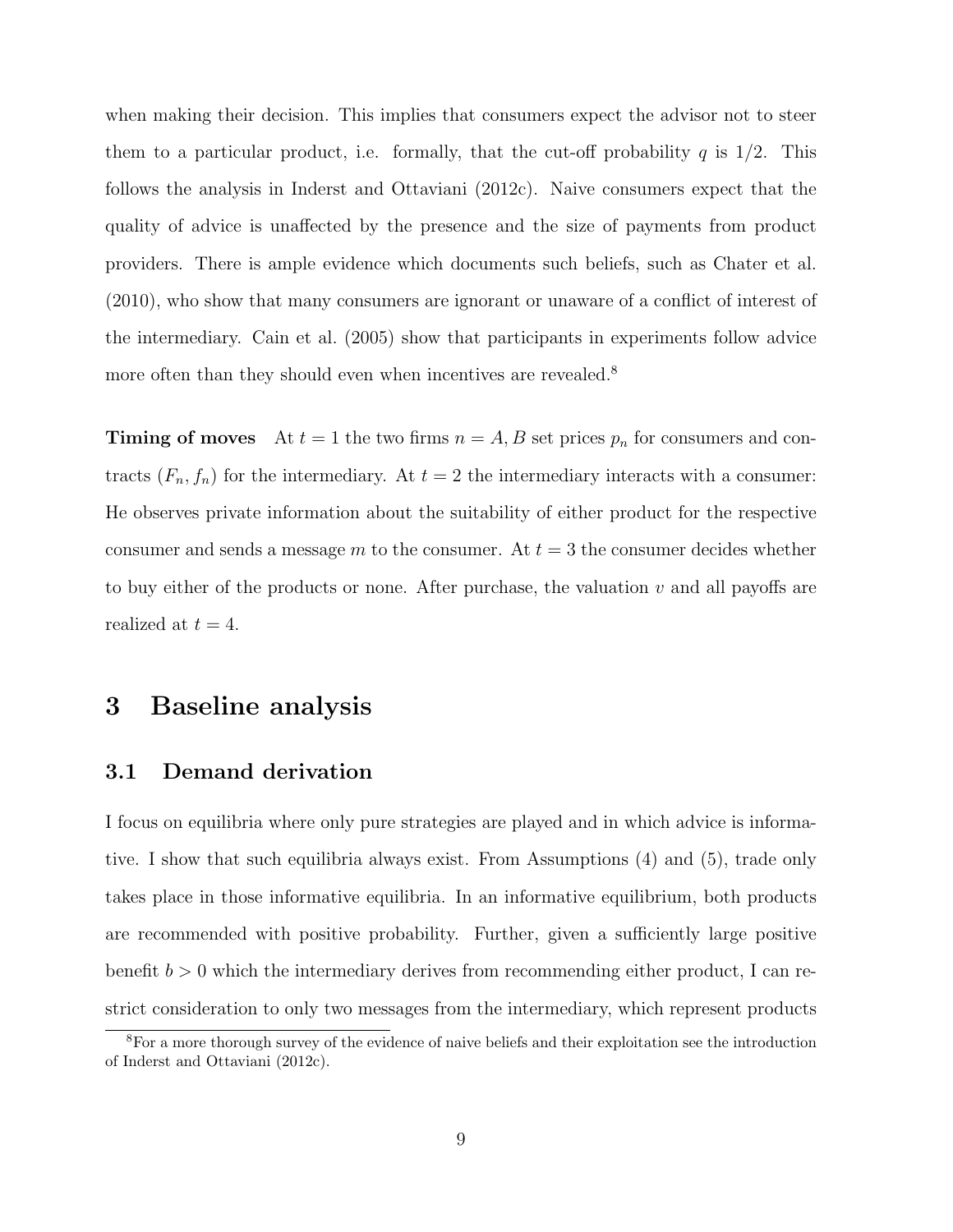when making their decision. This implies that consumers expect the advisor not to steer them to a particular product, i.e. formally, that the cut-off probability q is  $1/2$ . This follows the analysis in Inderst and Ottaviani (2012c). Naive consumers expect that the quality of advice is unaffected by the presence and the size of payments from product providers. There is ample evidence which documents such beliefs, such as Chater et al. (2010), who show that many consumers are ignorant or unaware of a conflict of interest of the intermediary. Cain et al. (2005) show that participants in experiments follow advice more often than they should even when incentives are revealed.<sup>8</sup>

**Timing of moves** At  $t = 1$  the two firms  $n = A, B$  set prices  $p_n$  for consumers and contracts  $(F_n, f_n)$  for the intermediary. At  $t = 2$  the intermediary interacts with a consumer: He observes private information about the suitability of either product for the respective consumer and sends a message m to the consumer. At  $t = 3$  the consumer decides whether to buy either of the products or none. After purchase, the valuation  $v$  and all payoffs are realized at  $t = 4$ .

#### 3 Baseline analysis

#### 3.1 Demand derivation

I focus on equilibria where only pure strategies are played and in which advice is informative. I show that such equilibria always exist. From Assumptions (4) and (5), trade only takes place in those informative equilibria. In an informative equilibrium, both products are recommended with positive probability. Further, given a sufficiently large positive benefit  $b > 0$  which the intermediary derives from recommending either product, I can restrict consideration to only two messages from the intermediary, which represent products

<sup>8</sup>For a more thorough survey of the evidence of naive beliefs and their exploitation see the introduction of Inderst and Ottaviani (2012c).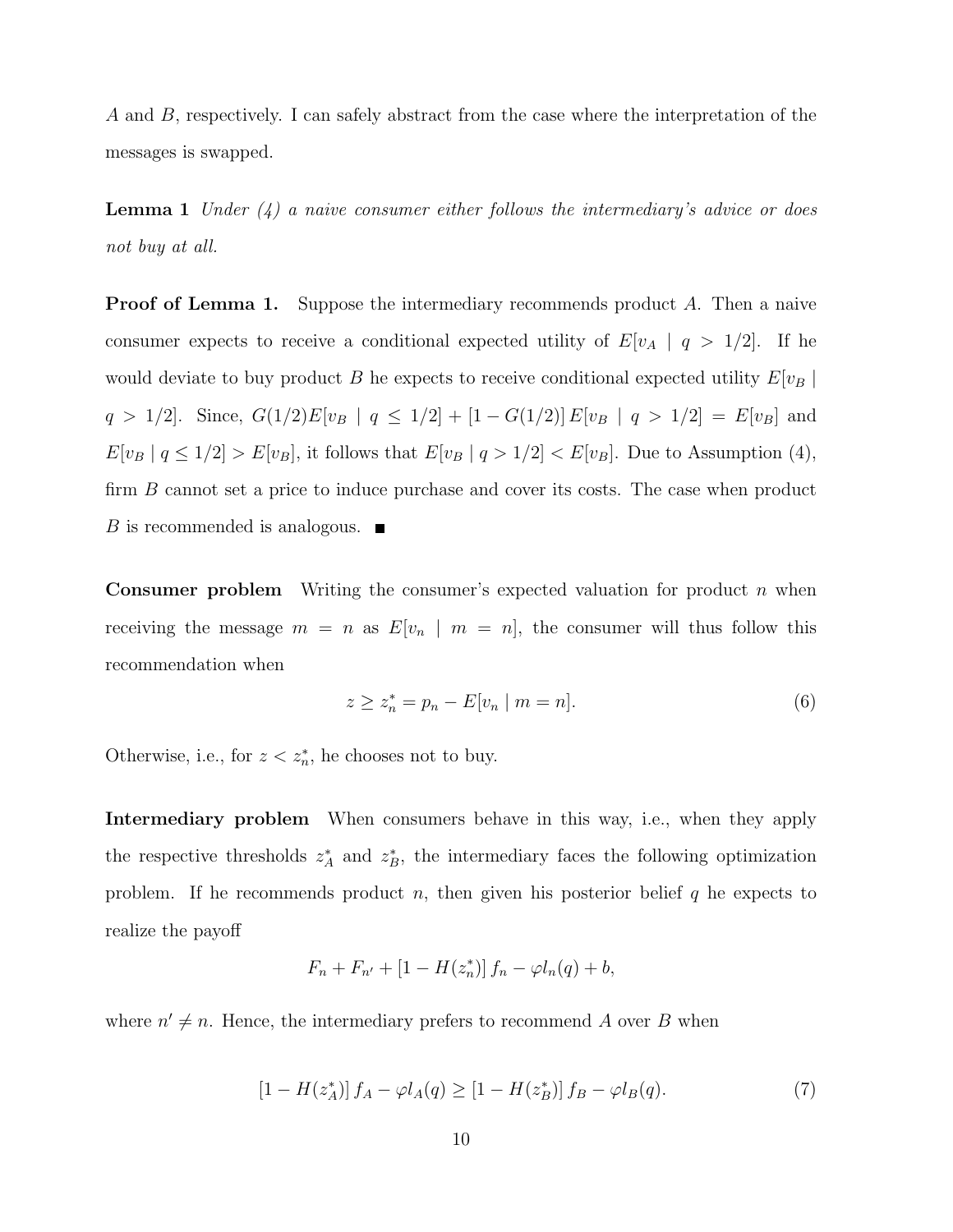A and B, respectively. I can safely abstract from the case where the interpretation of the messages is swapped.

**Lemma 1** Under  $(4)$  a naive consumer either follows the intermediary's advice or does not buy at all.

**Proof of Lemma 1.** Suppose the intermediary recommends product A. Then a naive consumer expects to receive a conditional expected utility of  $E[v_A | q > 1/2]$ . If he would deviate to buy product B he expects to receive conditional expected utility  $E[v_B]$ q > 1/2]. Since,  $G(1/2)E[v_B | q \le 1/2] + [1 - G(1/2)]E[v_B | q > 1/2] = E[v_B]$  and  $E[v_B | q \le 1/2] > E[v_B]$ , it follows that  $E[v_B | q > 1/2] < E[v_B]$ . Due to Assumption (4), firm B cannot set a price to induce purchase and cover its costs. The case when product B is recommended is analogous.  $\blacksquare$ 

**Consumer problem** Writing the consumer's expected valuation for product  $n$  when receiving the message  $m = n$  as  $E[v_n | m = n]$ , the consumer will thus follow this recommendation when

$$
z \ge z_n^* = p_n - E[v_n \mid m = n]. \tag{6}
$$

Otherwise, i.e., for  $z < z_n^*$ , he chooses not to buy.

Intermediary problem When consumers behave in this way, i.e., when they apply the respective thresholds  $z_A^*$  and  $z_B^*$ , the intermediary faces the following optimization problem. If he recommends product n, then given his posterior belief  $q$  he expects to realize the payoff

$$
F_n + F_{n'} + [1 - H(z_n^*)] f_n - \varphi l_n(q) + b,
$$

where  $n' \neq n$ . Hence, the intermediary prefers to recommend A over B when

$$
[1 - H(z_A^*)] f_A - \varphi l_A(q) \ge [1 - H(z_B^*)] f_B - \varphi l_B(q). \tag{7}
$$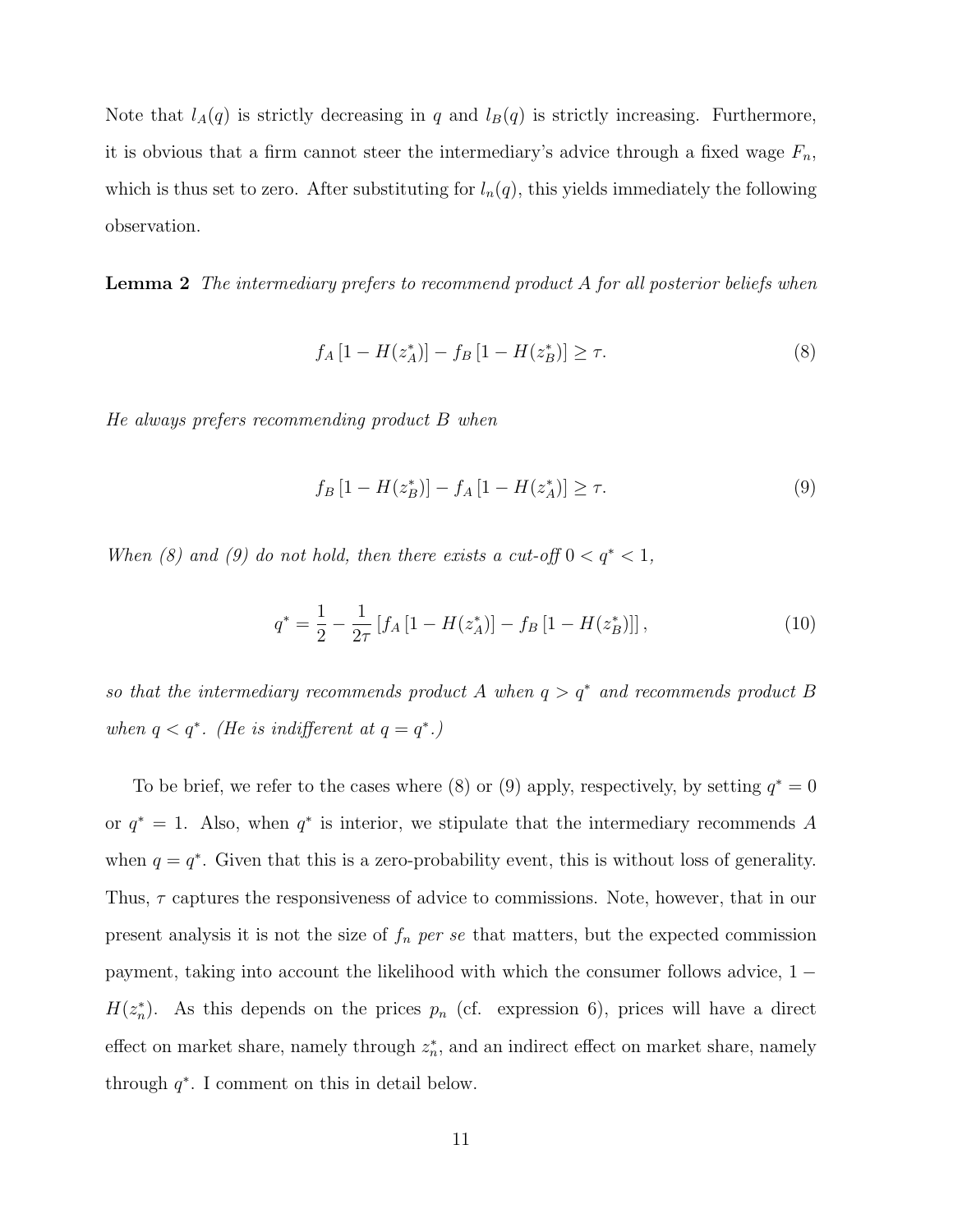Note that  $l_A(q)$  is strictly decreasing in q and  $l_B(q)$  is strictly increasing. Furthermore, it is obvious that a firm cannot steer the intermediary's advice through a fixed wage  $F_n$ , which is thus set to zero. After substituting for  $l_n(q)$ , this yields immediately the following observation.

**Lemma 2** The intermediary prefers to recommend product A for all posterior beliefs when

$$
f_A [1 - H(z_A^*)] - f_B [1 - H(z_B^*)] \ge \tau.
$$
 (8)

He always prefers recommending product B when

$$
f_B\left[1 - H(z_B^*)\right] - f_A\left[1 - H(z_A^*)\right] \ge \tau. \tag{9}
$$

When (8) and (9) do not hold, then there exists a cut-off  $0 < q^* < 1$ ,

$$
q^* = \frac{1}{2} - \frac{1}{2\tau} \left[ f_A \left[ 1 - H(z_A^*) \right] - f_B \left[ 1 - H(z_B^*) \right] \right],\tag{10}
$$

so that the intermediary recommends product A when  $q > q^*$  and recommends product B when  $q < q^*$ . (He is indifferent at  $q = q^*$ .)

To be brief, we refer to the cases where (8) or (9) apply, respectively, by setting  $q^* = 0$ or  $q^* = 1$ . Also, when  $q^*$  is interior, we stipulate that the intermediary recommends A when  $q = q^*$ . Given that this is a zero-probability event, this is without loss of generality. Thus,  $\tau$  captures the responsiveness of advice to commissions. Note, however, that in our present analysis it is not the size of  $f_n$  per se that matters, but the expected commission payment, taking into account the likelihood with which the consumer follows advice, 1 −  $H(z_n^*)$ . As this depends on the prices  $p_n$  (cf. expression 6), prices will have a direct effect on market share, namely through  $z_n^*$ , and an indirect effect on market share, namely through  $q^*$ . I comment on this in detail below.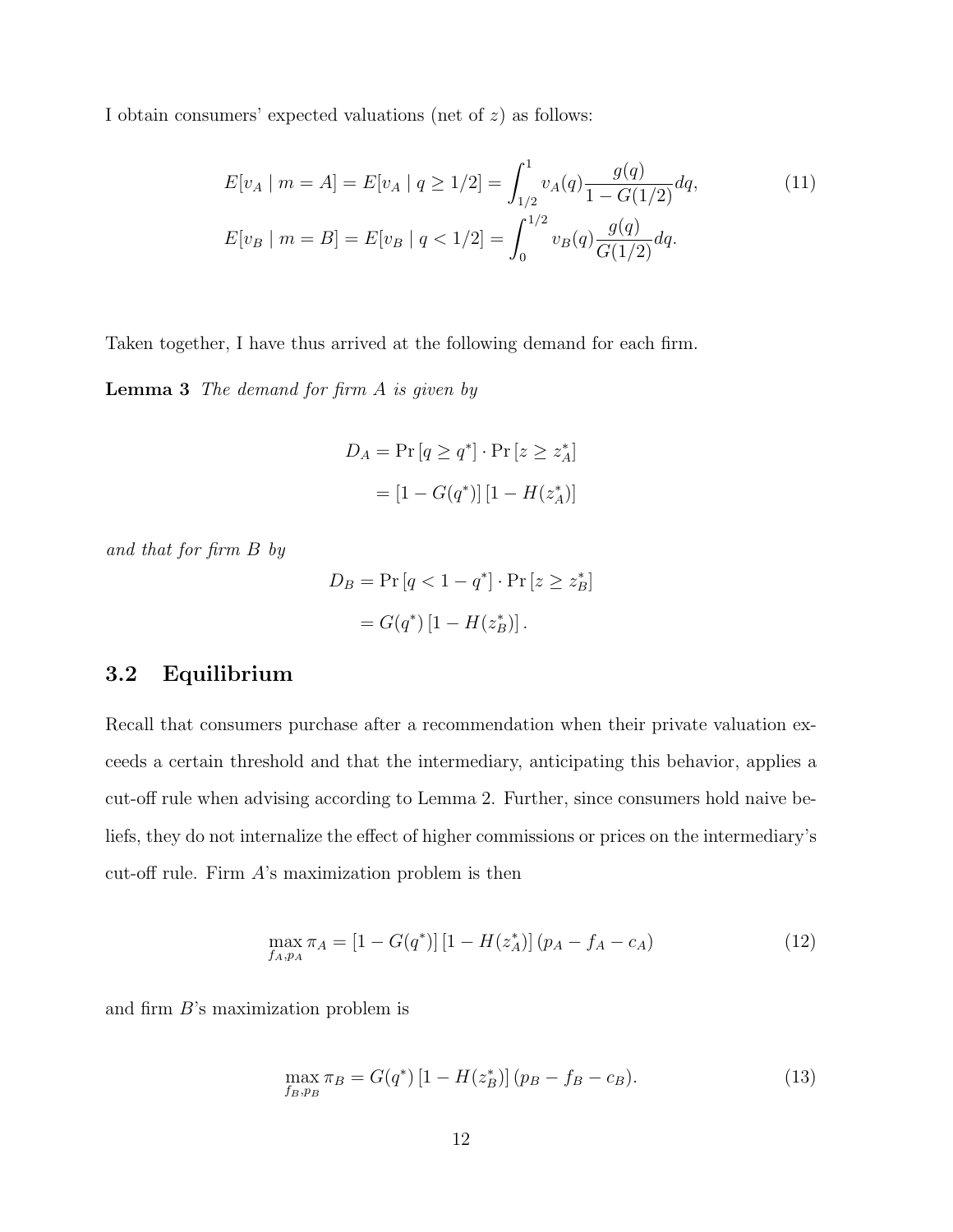I obtain consumers' expected valuations (net of  $z$ ) as follows:

$$
E[v_A \mid m = A] = E[v_A \mid q \ge 1/2] = \int_{1/2}^1 v_A(q) \frac{g(q)}{1 - G(1/2)} dq,
$$
(11)  

$$
E[v_B \mid m = B] = E[v_B \mid q < 1/2] = \int_0^{1/2} v_B(q) \frac{g(q)}{G(1/2)} dq.
$$

Taken together, I have thus arrived at the following demand for each firm.

Lemma 3 The demand for firm A is given by

$$
D_A = \Pr\left[q \ge q^*\right] \cdot \Pr\left[z \ge z_A^*\right]
$$

$$
= \left[1 - G(q^*)\right] \left[1 - H(z_A^*)\right]
$$

and that for firm B by

$$
D_B = \Pr\left[q < 1 - q^*\right] \cdot \Pr\left[z \geq z_B^*\right]
$$
\n
$$
= G(q^*) \left[1 - H(z_B^*)\right].
$$

#### 3.2 Equilibrium

Recall that consumers purchase after a recommendation when their private valuation exceeds a certain threshold and that the intermediary, anticipating this behavior, applies a cut-off rule when advising according to Lemma 2. Further, since consumers hold naive beliefs, they do not internalize the effect of higher commissions or prices on the intermediary's cut-off rule. Firm  $A$ 's maximization problem is then

$$
\max_{f_A, p_A} \pi_A = [1 - G(q^*)] [1 - H(z_A^*)] (p_A - f_A - c_A)
$$
\n(12)

and firm B's maximization problem is

$$
\max_{f_B, p_B} \pi_B = G(q^*) \left[ 1 - H(z_B^*) \right] (p_B - f_B - c_B). \tag{13}
$$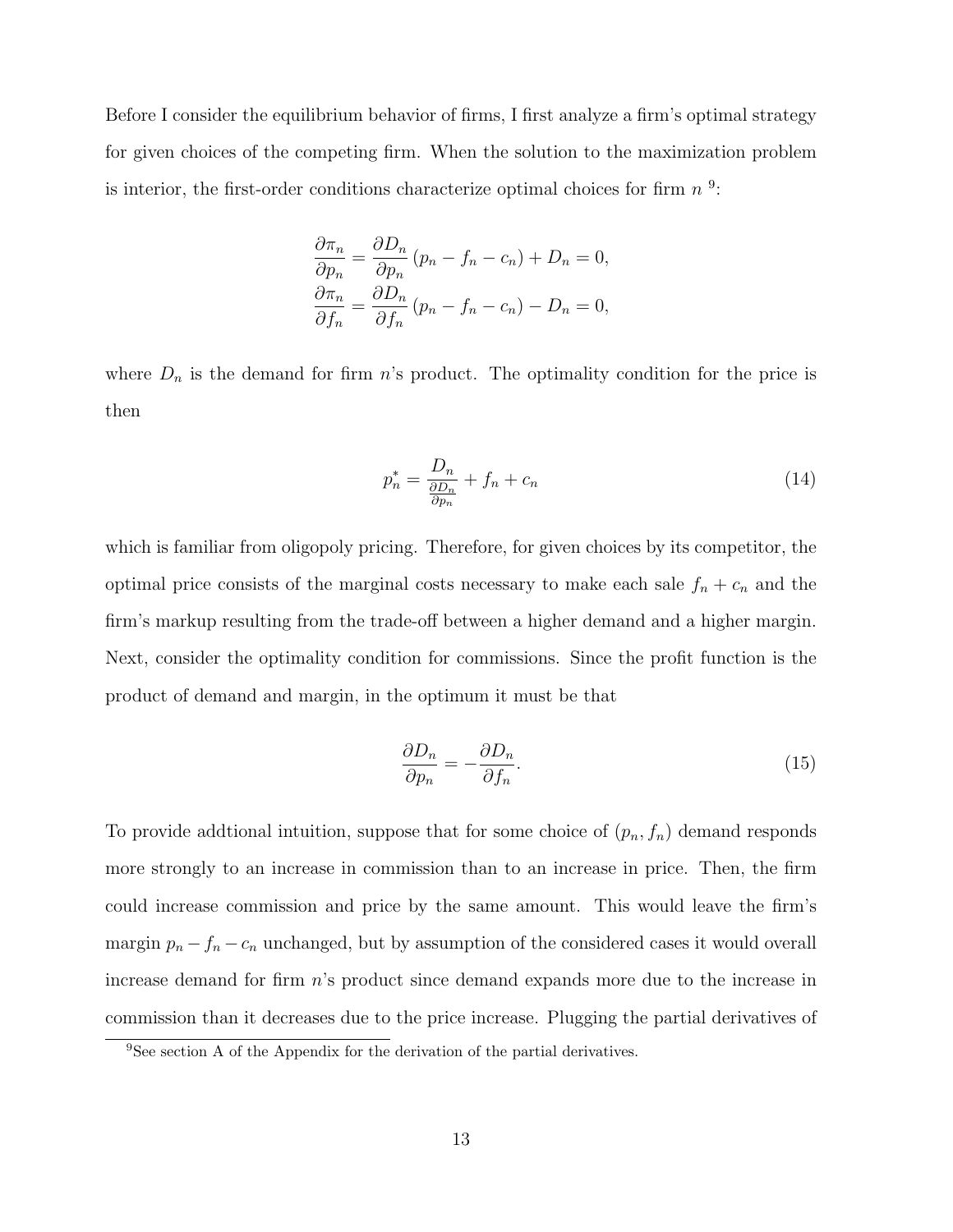Before I consider the equilibrium behavior of firms, I first analyze a firm's optimal strategy for given choices of the competing firm. When the solution to the maximization problem is interior, the first-order conditions characterize optimal choices for firm  $n<sup>9</sup>$ :

$$
\frac{\partial \pi_n}{\partial p_n} = \frac{\partial D_n}{\partial p_n} (p_n - f_n - c_n) + D_n = 0,
$$
  

$$
\frac{\partial \pi_n}{\partial f_n} = \frac{\partial D_n}{\partial f_n} (p_n - f_n - c_n) - D_n = 0,
$$

where  $D_n$  is the demand for firm n's product. The optimality condition for the price is then

$$
p_n^* = \frac{D_n}{\frac{\partial D_n}{\partial p_n}} + f_n + c_n \tag{14}
$$

which is familiar from oligopoly pricing. Therefore, for given choices by its competitor, the optimal price consists of the marginal costs necessary to make each sale  $f_n + c_n$  and the firm's markup resulting from the trade-off between a higher demand and a higher margin. Next, consider the optimality condition for commissions. Since the profit function is the product of demand and margin, in the optimum it must be that

$$
\frac{\partial D_n}{\partial p_n} = -\frac{\partial D_n}{\partial f_n}.\tag{15}
$$

To provide addtional intuition, suppose that for some choice of  $(p_n, f_n)$  demand responds more strongly to an increase in commission than to an increase in price. Then, the firm could increase commission and price by the same amount. This would leave the firm's margin  $p_n - f_n - c_n$  unchanged, but by assumption of the considered cases it would overall increase demand for firm n's product since demand expands more due to the increase in commission than it decreases due to the price increase. Plugging the partial derivatives of

<sup>&</sup>lt;sup>9</sup>See section A of the Appendix for the derivation of the partial derivatives.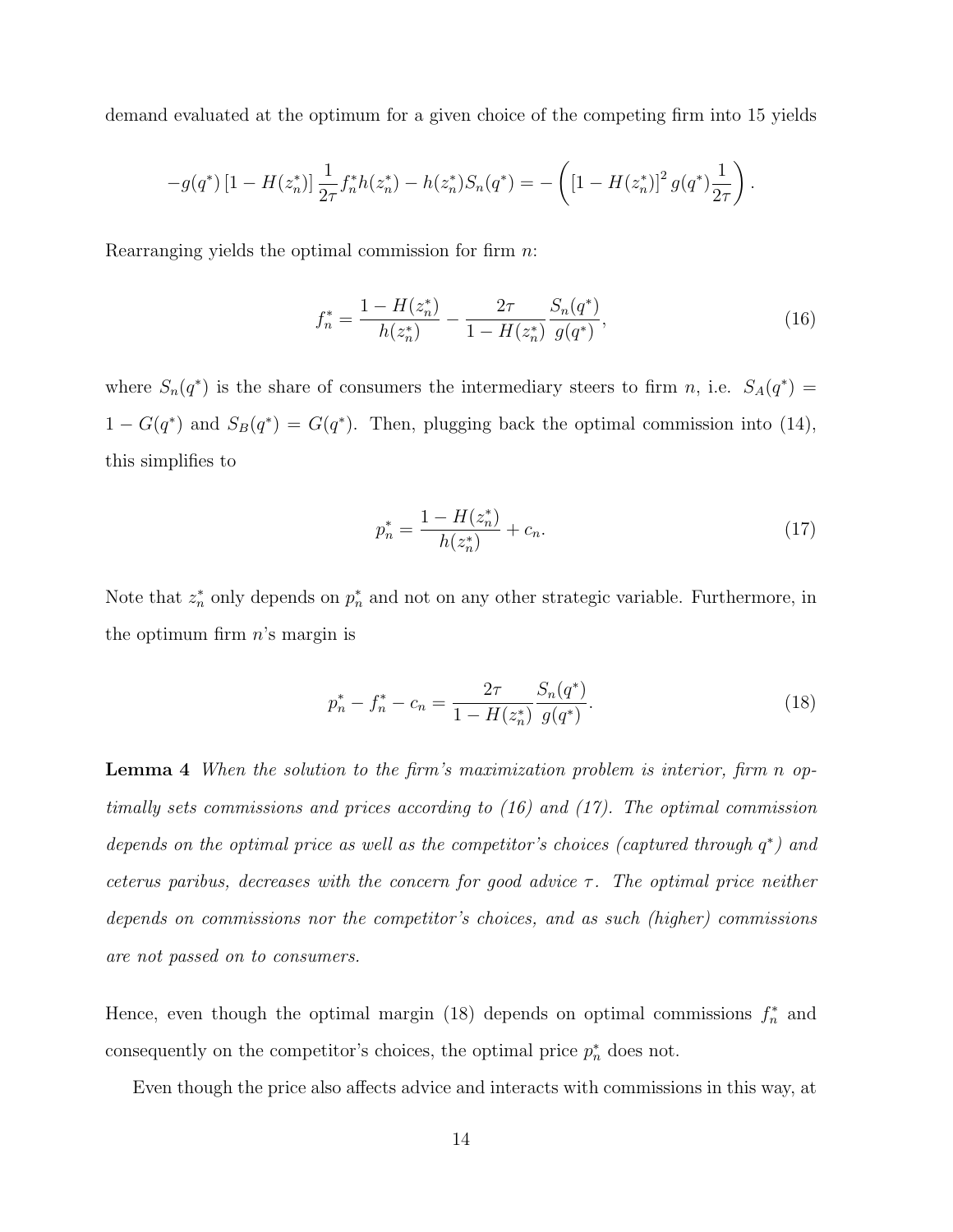demand evaluated at the optimum for a given choice of the competing firm into 15 yields

$$
-g(q^*)\left[1-H(z_n^*)\right]\frac{1}{2\tau}f_n^*h(z_n^*)-h(z_n^*)S_n(q^*)=-\left(\left[1-H(z_n^*)\right]^2g(q^*)\frac{1}{2\tau}\right).
$$

Rearranging yields the optimal commission for firm  $n$ :

$$
f_n^* = \frac{1 - H(z_n^*)}{h(z_n^*)} - \frac{2\tau}{1 - H(z_n^*)} \frac{S_n(q^*)}{g(q^*)},\tag{16}
$$

where  $S_n(q^*)$  is the share of consumers the intermediary steers to firm n, i.e.  $S_A(q^*)$  =  $1 - G(q^*)$  and  $S_B(q^*) = G(q^*)$ . Then, plugging back the optimal commission into (14), this simplifies to

$$
p_n^* = \frac{1 - H(z_n^*)}{h(z_n^*)} + c_n.
$$
\n(17)

Note that  $z_n^*$  only depends on  $p_n^*$  and not on any other strategic variable. Furthermore, in the optimum firm  $n$ 's margin is

$$
p_n^* - f_n^* - c_n = \frac{2\tau}{1 - H(z_n^*)} \frac{S_n(q^*)}{g(q^*)}.
$$
\n(18)

**Lemma 4** When the solution to the firm's maximization problem is interior, firm n optimally sets commissions and prices according to (16) and (17). The optimal commission depends on the optimal price as well as the competitor's choices (captured through  $q^*$ ) and ceterus paribus, decreases with the concern for good advice  $\tau$ . The optimal price neither depends on commissions nor the competitor's choices, and as such (higher) commissions are not passed on to consumers.

Hence, even though the optimal margin (18) depends on optimal commissions  $f_n^*$  and consequently on the competitor's choices, the optimal price  $p_n^*$  does not.

Even though the price also affects advice and interacts with commissions in this way, at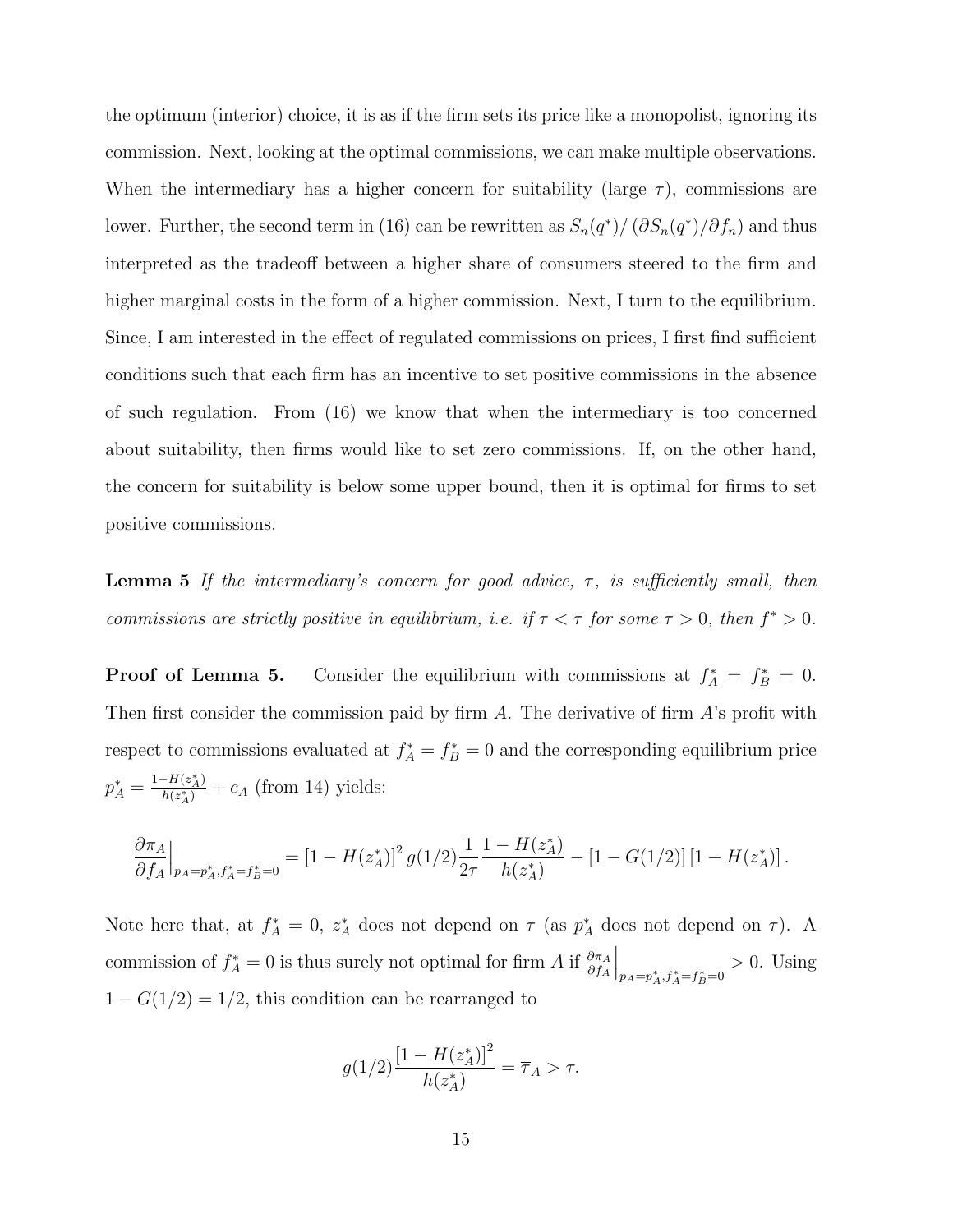the optimum (interior) choice, it is as if the firm sets its price like a monopolist, ignoring its commission. Next, looking at the optimal commissions, we can make multiple observations. When the intermediary has a higher concern for suitability (large  $\tau$ ), commissions are lower. Further, the second term in (16) can be rewritten as  $S_n(q^*)/(\partial S_n(q^*)/\partial f_n)$  and thus interpreted as the tradeoff between a higher share of consumers steered to the firm and higher marginal costs in the form of a higher commission. Next, I turn to the equilibrium. Since, I am interested in the effect of regulated commissions on prices, I first find sufficient conditions such that each firm has an incentive to set positive commissions in the absence of such regulation. From (16) we know that when the intermediary is too concerned about suitability, then firms would like to set zero commissions. If, on the other hand, the concern for suitability is below some upper bound, then it is optimal for firms to set positive commissions.

**Lemma 5** If the intermediary's concern for good advice,  $\tau$ , is sufficiently small, then commissions are strictly positive in equilibrium, i.e. if  $\tau < \overline{\tau}$  for some  $\overline{\tau} > 0$ , then  $f^* > 0$ .

**Proof of Lemma 5.** Consider the equilibrium with commissions at  $f_A^* = f_B^* = 0$ . Then first consider the commission paid by firm  $A$ . The derivative of firm  $A$ 's profit with respect to commissions evaluated at  $f_A^* = f_B^* = 0$  and the corresponding equilibrium price  $p_A^* = \frac{1 - H(z_A^*)}{h(z_A^*)}$  $\frac{(-H(z_A))}{h(z_A^*)} + c_A$  (from 14) yields:

$$
\frac{\partial \pi_A}{\partial f_A}\Big|_{p_A=p_A^*,f_A^*=f_B^*=0} = \left[1-H(z_A^*)\right]^2g(1/2)\frac{1}{2\tau}\frac{1-H(z_A^*)}{h(z_A^*)} - \left[1-G(1/2)\right]\left[1-H(z_A^*)\right].
$$

Note here that, at  $f_A^* = 0$ ,  $z_A^*$  does not depend on  $\tau$  (as  $p_A^*$  does not depend on  $\tau$ ). A commission of  $f_A^* = 0$  is thus surely not optimal for firm A if  $\frac{\partial \pi_A}{\partial f_A}$  $\Big|_{p_A = p_A^*, f_A^* = f_B^* = 0} > 0.$  Using  $1 - G(1/2) = 1/2$ , this condition can be rearranged to

$$
g(1/2)\frac{[1 - H(z_A^*)]^2}{h(z_A^*)} = \overline{\tau}_A > \tau.
$$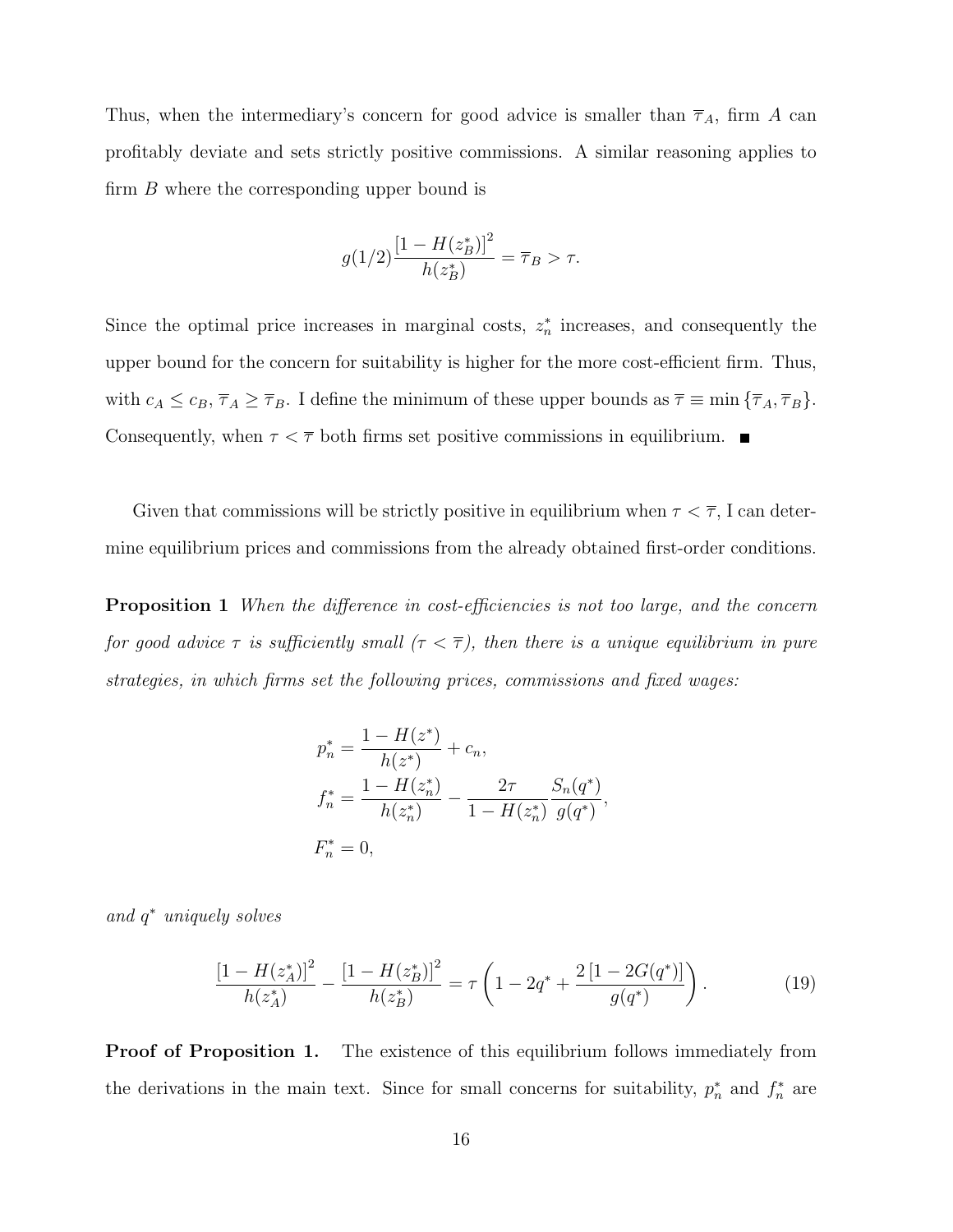Thus, when the intermediary's concern for good advice is smaller than  $\overline{\tau}_A$ , firm A can profitably deviate and sets strictly positive commissions. A similar reasoning applies to firm B where the corresponding upper bound is

$$
g(1/2)\frac{[1 - H(z_B^*)]^2}{h(z_B^*)} = \overline{\tau}_B > \tau.
$$

Since the optimal price increases in marginal costs,  $z_n^*$  increases, and consequently the upper bound for the concern for suitability is higher for the more cost-efficient firm. Thus, with  $c_A \leq c_B$ ,  $\overline{\tau}_A \geq \overline{\tau}_B$ . I define the minimum of these upper bounds as  $\overline{\tau} \equiv \min \{\overline{\tau}_A, \overline{\tau}_B\}.$ Consequently, when  $\tau < \overline{\tau}$  both firms set positive commissions in equilibrium.

Given that commissions will be strictly positive in equilibrium when  $\tau < \overline{\tau}$ , I can determine equilibrium prices and commissions from the already obtained first-order conditions.

**Proposition 1** When the difference in cost-efficiencies is not too large, and the concern for good advice  $\tau$  is sufficiently small  $(\tau < \overline{\tau})$ , then there is a unique equilibrium in pure strategies, in which firms set the following prices, commissions and fixed wages:

$$
p_n^* = \frac{1 - H(z^*)}{h(z^*)} + c_n,
$$
  
\n
$$
f_n^* = \frac{1 - H(z_n^*)}{h(z_n^*)} - \frac{2\tau}{1 - H(z_n^*)} \frac{S_n(q^*)}{g(q^*)},
$$
  
\n
$$
F_n^* = 0,
$$

and  $q^*$  uniquely solves

$$
\frac{\left[1 - H(z_A^*)\right]^2}{h(z_A^*)} - \frac{\left[1 - H(z_B^*)\right]^2}{h(z_B^*)} = \tau \left(1 - 2q^* + \frac{2\left[1 - 2G(q^*)\right]}{g(q^*)}\right). \tag{19}
$$

**Proof of Proposition 1.** The existence of this equilibrium follows immediately from the derivations in the main text. Since for small concerns for suitability,  $p_n^*$  and  $f_n^*$  are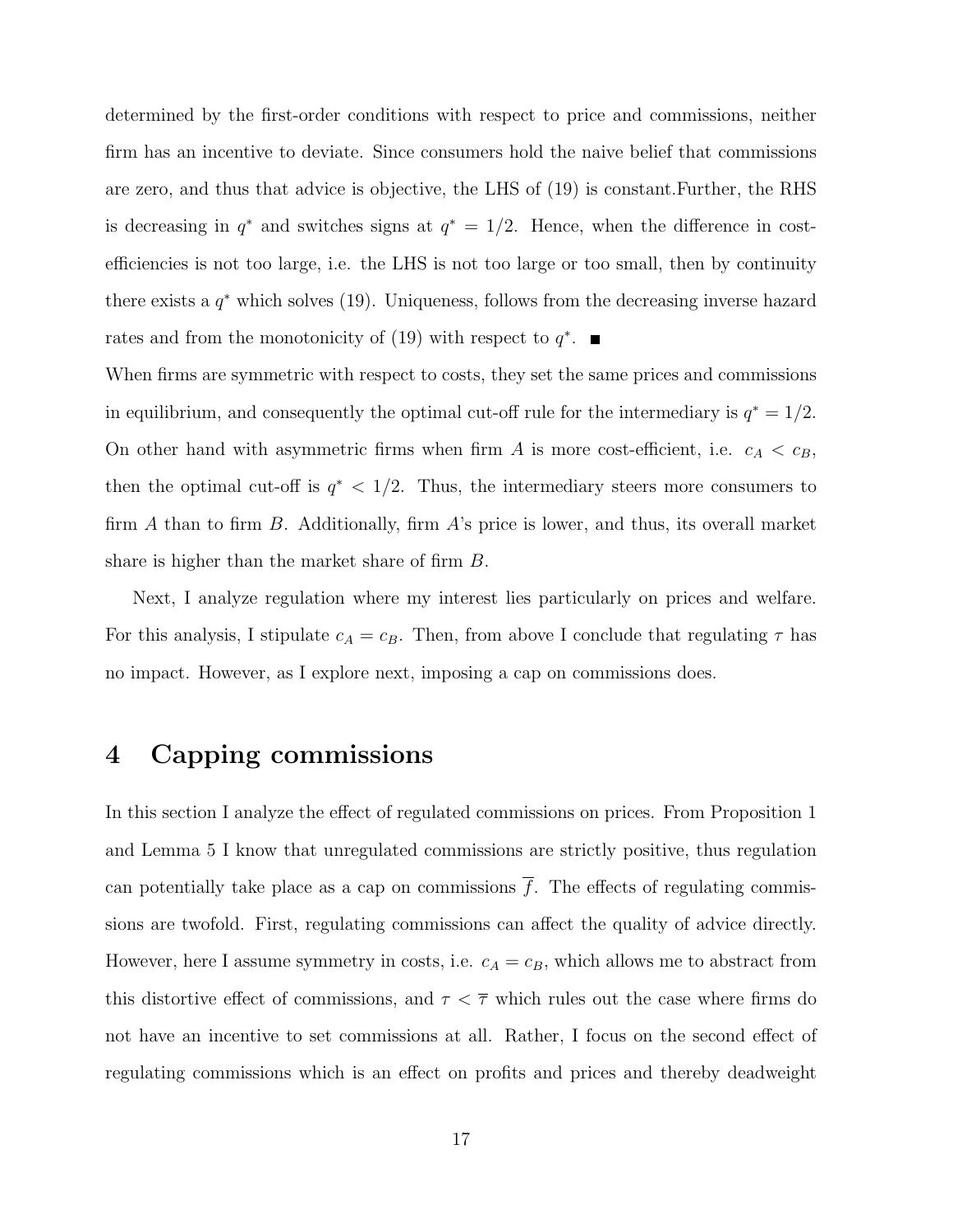determined by the first-order conditions with respect to price and commissions, neither firm has an incentive to deviate. Since consumers hold the naive belief that commissions are zero, and thus that advice is objective, the LHS of (19) is constant.Further, the RHS is decreasing in  $q^*$  and switches signs at  $q^* = 1/2$ . Hence, when the difference in costefficiencies is not too large, i.e. the LHS is not too large or too small, then by continuity there exists a  $q^*$  which solves (19). Uniqueness, follows from the decreasing inverse hazard rates and from the monotonicity of  $(19)$  with respect to  $q^*$ .

When firms are symmetric with respect to costs, they set the same prices and commissions in equilibrium, and consequently the optimal cut-off rule for the intermediary is  $q^* = 1/2$ . On other hand with asymmetric firms when firm A is more cost-efficient, i.e.  $c_A < c_B$ , then the optimal cut-off is  $q^*$  < 1/2. Thus, the intermediary steers more consumers to firm A than to firm B. Additionally, firm  $A$ 's price is lower, and thus, its overall market share is higher than the market share of firm B.

Next, I analyze regulation where my interest lies particularly on prices and welfare. For this analysis, I stipulate  $c_A = c_B$ . Then, from above I conclude that regulating  $\tau$  has no impact. However, as I explore next, imposing a cap on commissions does.

#### 4 Capping commissions

In this section I analyze the effect of regulated commissions on prices. From Proposition 1 and Lemma 5 I know that unregulated commissions are strictly positive, thus regulation can potentially take place as a cap on commissions  $\overline{f}$ . The effects of regulating commissions are twofold. First, regulating commissions can affect the quality of advice directly. However, here I assume symmetry in costs, i.e.  $c_A = c_B$ , which allows me to abstract from this distortive effect of commissions, and  $\tau < \overline{\tau}$  which rules out the case where firms do not have an incentive to set commissions at all. Rather, I focus on the second effect of regulating commissions which is an effect on profits and prices and thereby deadweight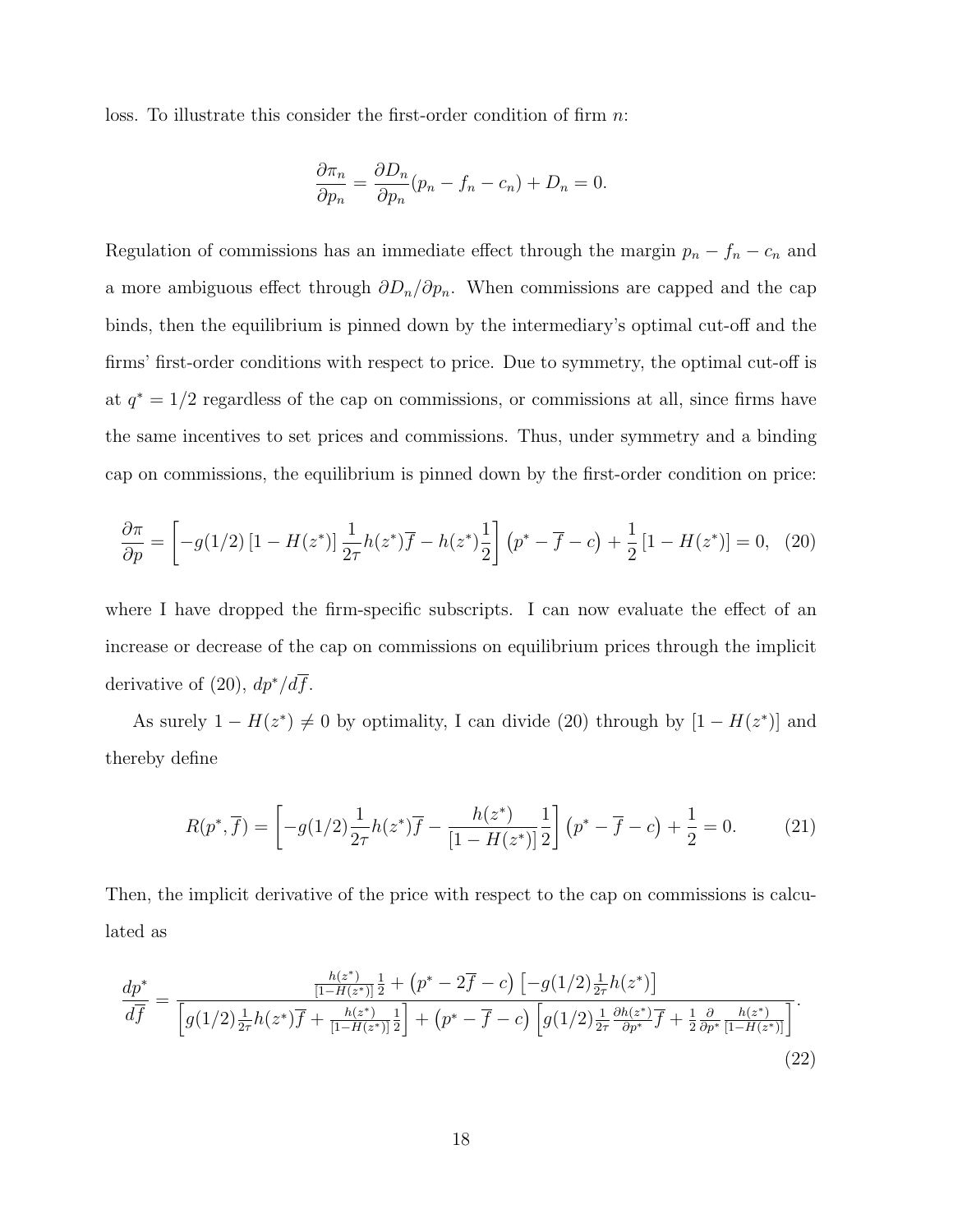loss. To illustrate this consider the first-order condition of firm n:

$$
\frac{\partial \pi_n}{\partial p_n} = \frac{\partial D_n}{\partial p_n} (p_n - f_n - c_n) + D_n = 0.
$$

Regulation of commissions has an immediate effect through the margin  $p_n - f_n - c_n$  and a more ambiguous effect through  $\partial D_n/\partial p_n$ . When commissions are capped and the cap binds, then the equilibrium is pinned down by the intermediary's optimal cut-off and the firms' first-order conditions with respect to price. Due to symmetry, the optimal cut-off is at  $q^* = 1/2$  regardless of the cap on commissions, or commissions at all, since firms have the same incentives to set prices and commissions. Thus, under symmetry and a binding cap on commissions, the equilibrium is pinned down by the first-order condition on price:

$$
\frac{\partial \pi}{\partial p} = \left[ -g(1/2) \left[ 1 - H(z^*) \right] \frac{1}{2\tau} h(z^*) \overline{f} - h(z^*) \frac{1}{2} \right] \left( p^* - \overline{f} - c \right) + \frac{1}{2} \left[ 1 - H(z^*) \right] = 0, \tag{20}
$$

where I have dropped the firm-specific subscripts. I can now evaluate the effect of an increase or decrease of the cap on commissions on equilibrium prices through the implicit derivative of (20),  $dp^*/d\overline{f}$ .

As surely  $1 - H(z^*) \neq 0$  by optimality, I can divide (20) through by  $[1 - H(z^*)]$  and thereby define

$$
R(p^*, \overline{f}) = \left[ -g(1/2) \frac{1}{2\tau} h(z^*) \overline{f} - \frac{h(z^*)}{[1 - H(z^*)]} \frac{1}{2} \right] (p^* - \overline{f} - c) + \frac{1}{2} = 0.
$$
 (21)

Then, the implicit derivative of the price with respect to the cap on commissions is calculated as

$$
\frac{dp^*}{d\overline{f}} = \frac{\frac{h(z^*)}{[1 - H(z^*)]^{\frac{1}{2}}} + (p^* - 2\overline{f} - c) \left[ -g(1/2)\frac{1}{2\tau}h(z^*) \right]}{\left[ g(1/2)\frac{1}{2\tau}h(z^*)\overline{f} + \frac{h(z^*)}{[1 - H(z^*)]^{\frac{1}{2}}} \right] + (p^* - \overline{f} - c) \left[ g(1/2)\frac{1}{2\tau}\frac{\partial h(z^*)}{\partial p^*}\overline{f} + \frac{1}{2}\frac{\partial}{\partial p^*}\frac{h(z^*)}{[1 - H(z^*)]} \right]}.
$$
\n(22)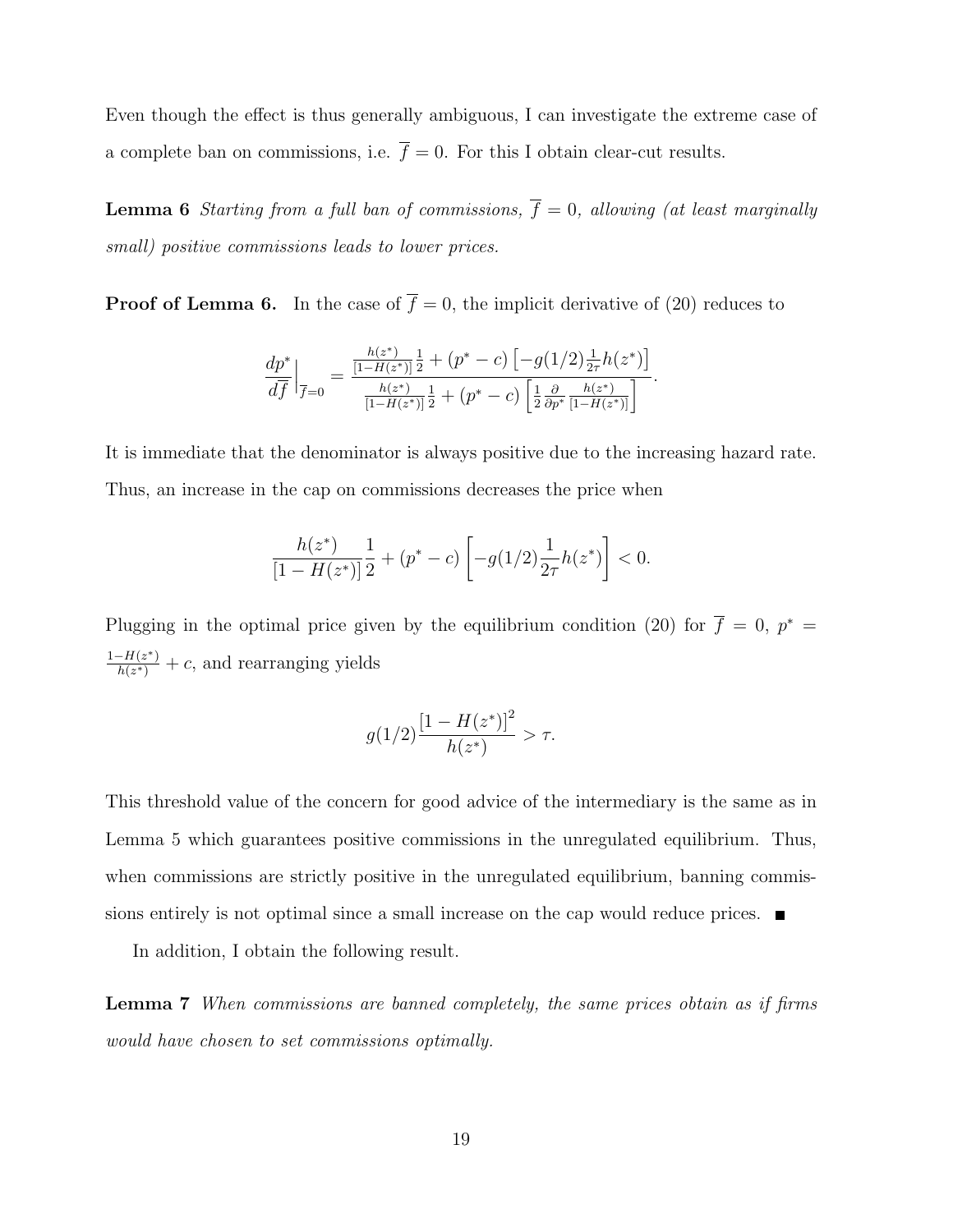Even though the effect is thus generally ambiguous, I can investigate the extreme case of a complete ban on commissions, i.e.  $\bar{f} = 0$ . For this I obtain clear-cut results.

**Lemma 6** Starting from a full ban of commissions,  $\overline{f} = 0$ , allowing (at least marginally small) positive commissions leads to lower prices.

**Proof of Lemma 6.** In the case of  $\overline{f} = 0$ , the implicit derivative of (20) reduces to

$$
\frac{dp^*}{d\overline{f}}\Big|_{\overline{f}=0} = \frac{\frac{h(z^*)}{[1-H(z^*)]} \frac{1}{2} + (p^* - c) \left[ -g(1/2) \frac{1}{2\tau} h(z^*) \right]}{\frac{h(z^*)}{[1-H(z^*)]} \frac{1}{2} + (p^* - c) \left[ \frac{1}{2} \frac{\partial}{\partial p^*} \frac{h(z^*)}{[1-H(z^*)]} \right]}.
$$

It is immediate that the denominator is always positive due to the increasing hazard rate. Thus, an increase in the cap on commissions decreases the price when

$$
\frac{h(z^*)}{[1-H(z^*)]} \frac{1}{2} + (p^* - c) \left[ -g(1/2) \frac{1}{2\tau} h(z^*) \right] < 0.
$$

Plugging in the optimal price given by the equilibrium condition (20) for  $\overline{f} = 0$ ,  $p^* =$  $1 - H(z^*)$  $\frac{-H(z^{2})}{h(z^{*})} + c$ , and rearranging yields

$$
g(1/2)\frac{[1 - H(z^*)]^2}{h(z^*)} > \tau.
$$

This threshold value of the concern for good advice of the intermediary is the same as in Lemma 5 which guarantees positive commissions in the unregulated equilibrium. Thus, when commissions are strictly positive in the unregulated equilibrium, banning commissions entirely is not optimal since a small increase on the cap would reduce prices.

In addition, I obtain the following result.

Lemma 7 When commissions are banned completely, the same prices obtain as if firms would have chosen to set commissions optimally.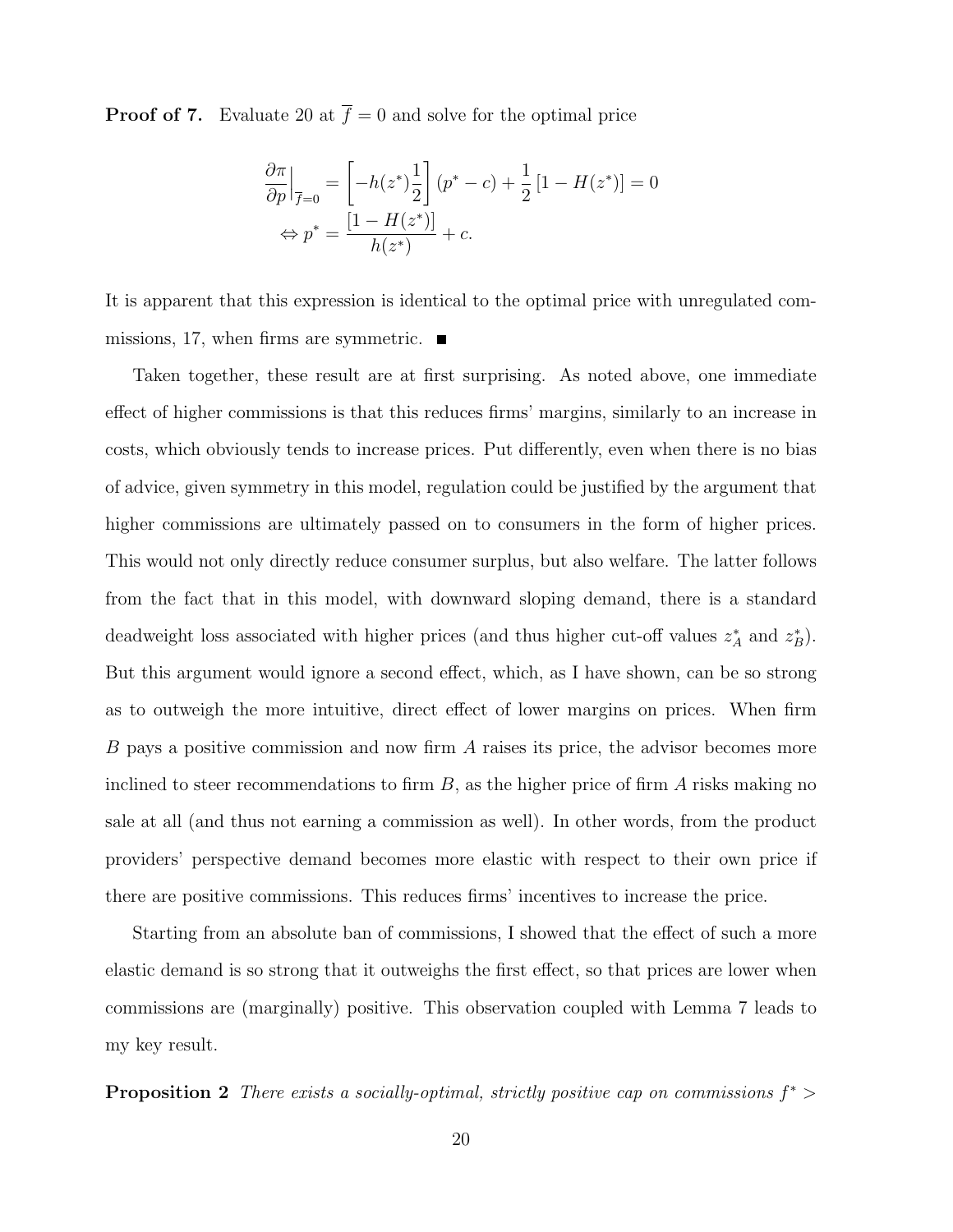**Proof of 7.** Evaluate 20 at  $\overline{f} = 0$  and solve for the optimal price

$$
\frac{\partial \pi}{\partial p}\Big|_{\overline{f}=0} = \left[-h(z^*)\frac{1}{2}\right](p^*-c) + \frac{1}{2}\left[1 - H(z^*)\right] = 0
$$

$$
\Leftrightarrow p^* = \frac{\left[1 - H(z^*)\right]}{h(z^*)} + c.
$$

It is apparent that this expression is identical to the optimal price with unregulated commissions, 17, when firms are symmetric.  $\blacksquare$ 

Taken together, these result are at first surprising. As noted above, one immediate effect of higher commissions is that this reduces firms' margins, similarly to an increase in costs, which obviously tends to increase prices. Put differently, even when there is no bias of advice, given symmetry in this model, regulation could be justified by the argument that higher commissions are ultimately passed on to consumers in the form of higher prices. This would not only directly reduce consumer surplus, but also welfare. The latter follows from the fact that in this model, with downward sloping demand, there is a standard deadweight loss associated with higher prices (and thus higher cut-off values  $z_A^*$  and  $z_B^*$ ). But this argument would ignore a second effect, which, as I have shown, can be so strong as to outweigh the more intuitive, direct effect of lower margins on prices. When firm B pays a positive commission and now firm A raises its price, the advisor becomes more inclined to steer recommendations to firm  $B$ , as the higher price of firm A risks making no sale at all (and thus not earning a commission as well). In other words, from the product providers' perspective demand becomes more elastic with respect to their own price if there are positive commissions. This reduces firms' incentives to increase the price.

Starting from an absolute ban of commissions, I showed that the effect of such a more elastic demand is so strong that it outweighs the first effect, so that prices are lower when commissions are (marginally) positive. This observation coupled with Lemma 7 leads to my key result.

**Proposition 2** There exists a socially-optimal, strictly positive cap on commissions  $f^*$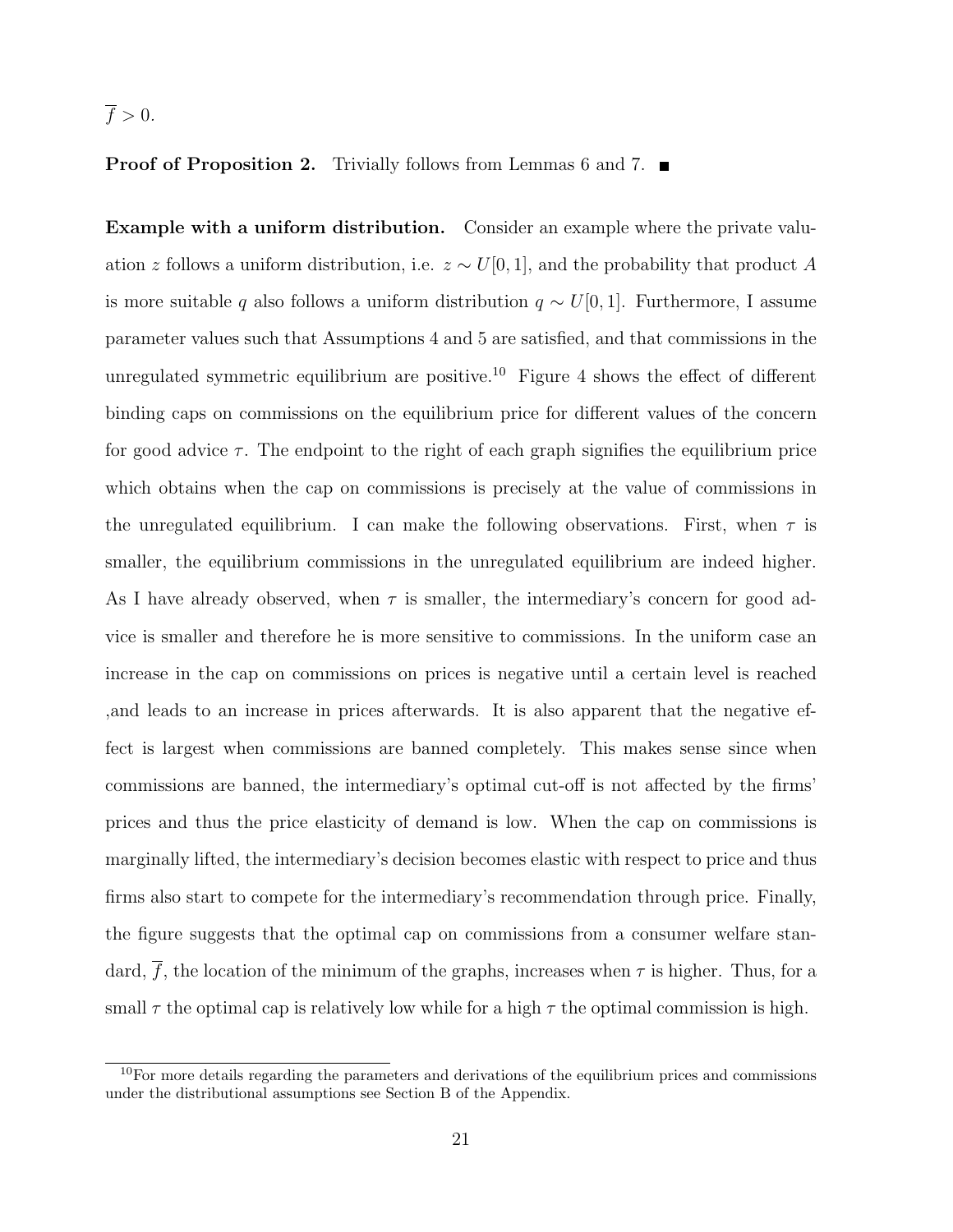#### $\overline{f} > 0.$

#### **Proof of Proposition 2.** Trivially follows from Lemmas 6 and 7.

Example with a uniform distribution. Consider an example where the private valuation z follows a uniform distribution, i.e.  $z \sim U[0, 1]$ , and the probability that product A is more suitable q also follows a uniform distribution  $q \sim U[0, 1]$ . Furthermore, I assume parameter values such that Assumptions 4 and 5 are satisfied, and that commissions in the unregulated symmetric equilibrium are positive.<sup>10</sup> Figure 4 shows the effect of different binding caps on commissions on the equilibrium price for different values of the concern for good advice  $\tau$ . The endpoint to the right of each graph signifies the equilibrium price which obtains when the cap on commissions is precisely at the value of commissions in the unregulated equilibrium. I can make the following observations. First, when  $\tau$  is smaller, the equilibrium commissions in the unregulated equilibrium are indeed higher. As I have already observed, when  $\tau$  is smaller, the intermediary's concern for good advice is smaller and therefore he is more sensitive to commissions. In the uniform case an increase in the cap on commissions on prices is negative until a certain level is reached ,and leads to an increase in prices afterwards. It is also apparent that the negative effect is largest when commissions are banned completely. This makes sense since when commissions are banned, the intermediary's optimal cut-off is not affected by the firms' prices and thus the price elasticity of demand is low. When the cap on commissions is marginally lifted, the intermediary's decision becomes elastic with respect to price and thus firms also start to compete for the intermediary's recommendation through price. Finally, the figure suggests that the optimal cap on commissions from a consumer welfare standard,  $\overline{f}$ , the location of the minimum of the graphs, increases when  $\tau$  is higher. Thus, for a small  $\tau$  the optimal cap is relatively low while for a high  $\tau$  the optimal commission is high.

 $10$ For more details regarding the parameters and derivations of the equilibrium prices and commissions under the distributional assumptions see Section B of the Appendix.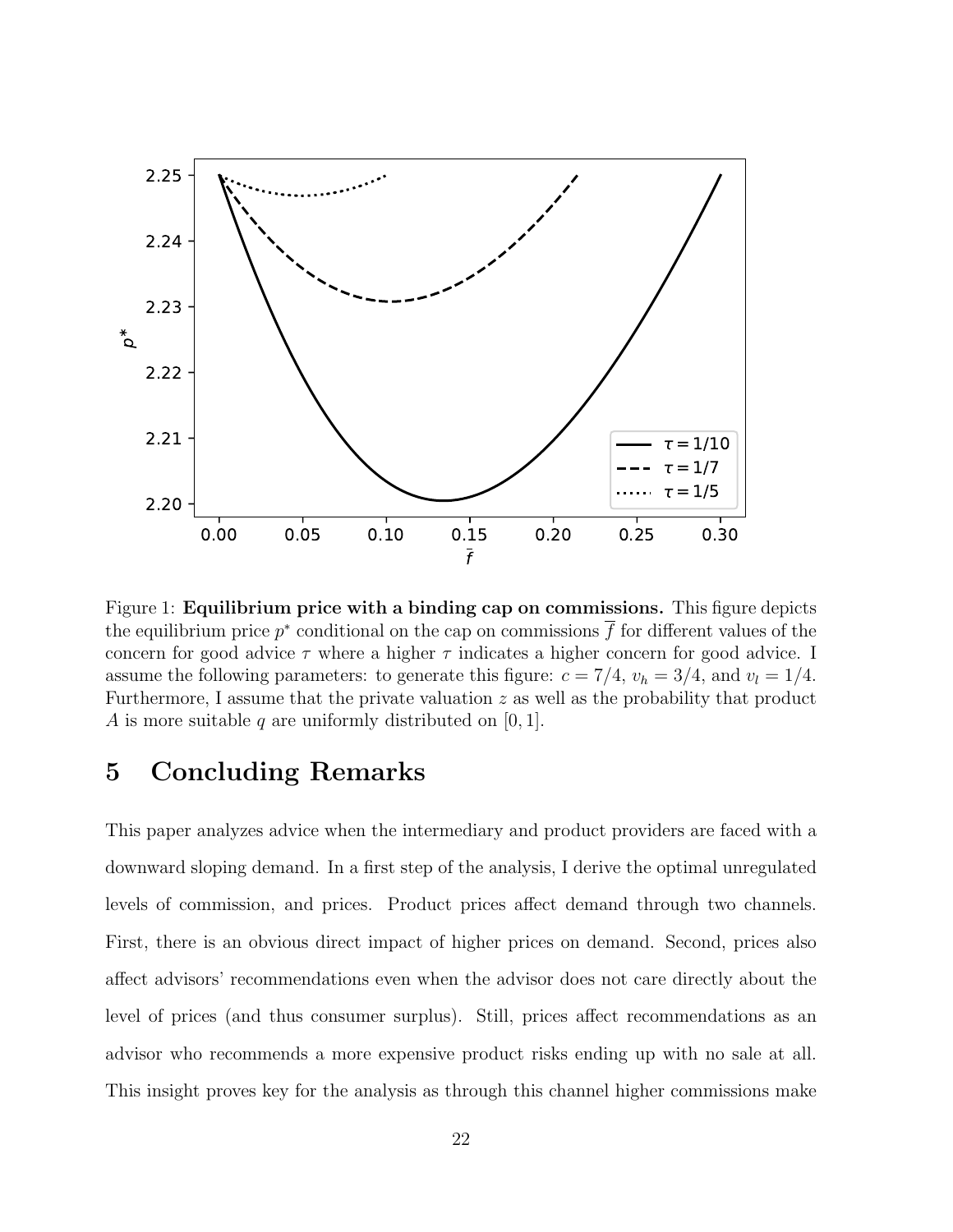

Figure 1: **Equilibrium price with a binding cap on commissions.** This figure depicts the equilibrium price  $p^*$  conditional on the cap on commissions  $\overline{f}$  for different values of the concern for good advice  $\tau$  where a higher  $\tau$  indicates a higher concern for good advice. I assume the following parameters: to generate this figure:  $c = 7/4$ ,  $v_h = 3/4$ , and  $v_l = 1/4$ . Furthermore, I assume that the private valuation z as well as the probability that product A is more suitable q are uniformly distributed on  $[0, 1]$ .

# 5 Concluding Remarks

This paper analyzes advice when the intermediary and product providers are faced with a downward sloping demand. In a first step of the analysis, I derive the optimal unregulated levels of commission, and prices. Product prices affect demand through two channels. First, there is an obvious direct impact of higher prices on demand. Second, prices also affect advisors' recommendations even when the advisor does not care directly about the level of prices (and thus consumer surplus). Still, prices affect recommendations as an advisor who recommends a more expensive product risks ending up with no sale at all. This insight proves key for the analysis as through this channel higher commissions make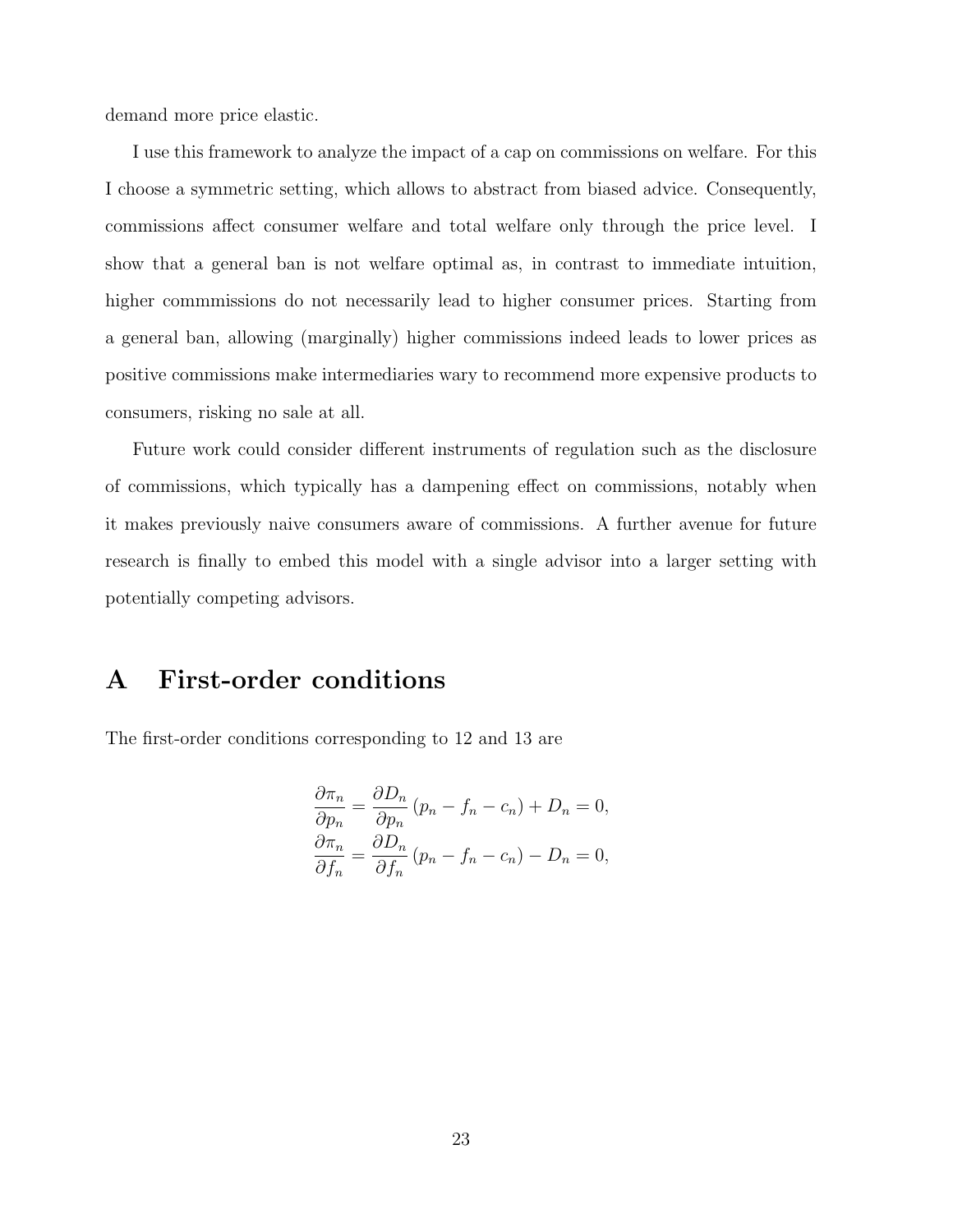demand more price elastic.

I use this framework to analyze the impact of a cap on commissions on welfare. For this I choose a symmetric setting, which allows to abstract from biased advice. Consequently, commissions affect consumer welfare and total welfare only through the price level. I show that a general ban is not welfare optimal as, in contrast to immediate intuition, higher commmissions do not necessarily lead to higher consumer prices. Starting from a general ban, allowing (marginally) higher commissions indeed leads to lower prices as positive commissions make intermediaries wary to recommend more expensive products to consumers, risking no sale at all.

Future work could consider different instruments of regulation such as the disclosure of commissions, which typically has a dampening effect on commissions, notably when it makes previously naive consumers aware of commissions. A further avenue for future research is finally to embed this model with a single advisor into a larger setting with potentially competing advisors.

#### A First-order conditions

The first-order conditions corresponding to 12 and 13 are

$$
\frac{\partial \pi_n}{\partial p_n} = \frac{\partial D_n}{\partial p_n} (p_n - f_n - c_n) + D_n = 0,
$$
  

$$
\frac{\partial \pi_n}{\partial f_n} = \frac{\partial D_n}{\partial f_n} (p_n - f_n - c_n) - D_n = 0,
$$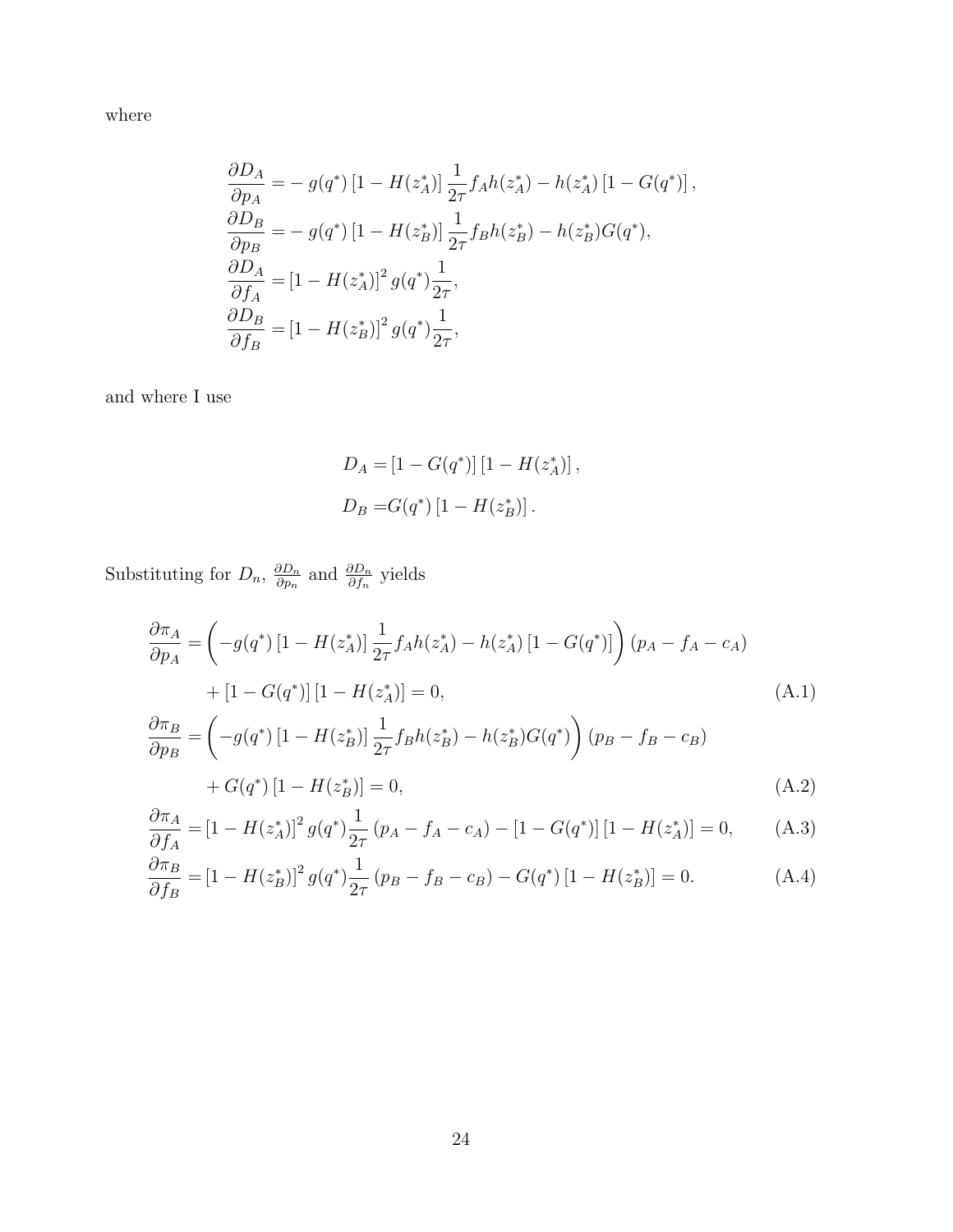where

$$
\frac{\partial D_A}{\partial p_A} = -g(q^*) \left[ 1 - H(z_A^*) \right] \frac{1}{2\tau} f_A h(z_A^*) - h(z_A^*) \left[ 1 - G(q^*) \right],
$$
  
\n
$$
\frac{\partial D_B}{\partial p_B} = -g(q^*) \left[ 1 - H(z_B^*) \right] \frac{1}{2\tau} f_B h(z_B^*) - h(z_B^*) G(q^*),
$$
  
\n
$$
\frac{\partial D_A}{\partial f_A} = \left[ 1 - H(z_A^*) \right]^2 g(q^*) \frac{1}{2\tau},
$$
  
\n
$$
\frac{\partial D_B}{\partial f_B} = \left[ 1 - H(z_B^*) \right]^2 g(q^*) \frac{1}{2\tau},
$$

and where I use

$$
D_A = [1 - G(q^*)] [1 - H(z_A^*)],
$$
  
\n
$$
D_B = G(q^*) [1 - H(z_B^*)].
$$

Substituting for  $D_n$ ,  $\frac{\partial D_n}{\partial n_n}$  $\frac{\partial D_n}{\partial p_n}$  and  $\frac{\partial D_n}{\partial f_n}$  yields

$$
\frac{\partial \pi_A}{\partial p_A} = \left( -g(q^*) \left[ 1 - H(z_A^*) \right] \frac{1}{2\tau} f_A h(z_A^*) - h(z_A^*) \left[ 1 - G(q^*) \right] \right) (p_A - f_A - c_A)
$$
  
+ 
$$
\left[ 1 - G(q^*) \right] \left[ 1 - H(z_A^*) \right] = 0,
$$
 (A.1)

$$
\frac{\partial \pi_B}{\partial p_B} = \left( -g(q^*) \left[ 1 - H(z_B^*) \right] \frac{1}{2\tau} f_B h(z_B^*) - h(z_B^*) G(q^*) \right) (p_B - f_B - c_B) \n+ G(q^*) \left[ 1 - H(z_B^*) \right] = 0,
$$
\n(A.2)

$$
\frac{\partial \pi_A}{\partial f_A} = \left[1 - H(z_A^*)\right]^2 g(q^*) \frac{1}{2\tau} \left(p_A - f_A - c_A\right) - \left[1 - G(q^*)\right] \left[1 - H(z_A^*)\right] = 0,\tag{A.3}
$$

$$
\frac{\partial \pi_B}{\partial f_B} = [1 - H(z_B^*)]^2 g(q^*) \frac{1}{2\tau} (p_B - f_B - c_B) - G(q^*) [1 - H(z_B^*)] = 0.
$$
 (A.4)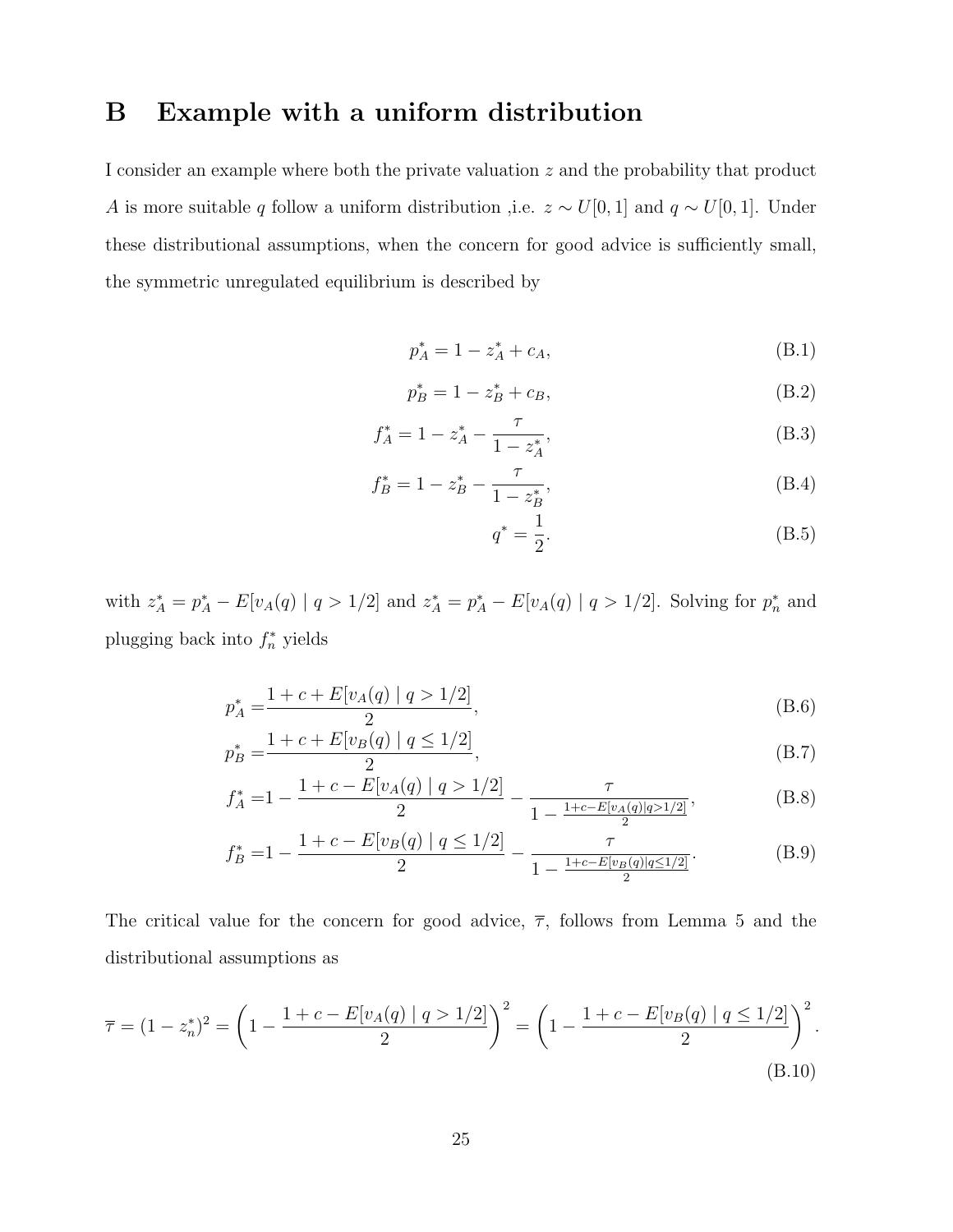## B Example with a uniform distribution

I consider an example where both the private valuation z and the probability that product A is more suitable q follow a uniform distribution ,i.e.  $z \sim U[0, 1]$  and  $q \sim U[0, 1]$ . Under these distributional assumptions, when the concern for good advice is sufficiently small, the symmetric unregulated equilibrium is described by

$$
p_A^* = 1 - z_A^* + c_A, \tag{B.1}
$$

$$
p_B^* = 1 - z_B^* + c_B,
$$
 (B.2)

$$
f_A^* = 1 - z_A^* - \frac{\tau}{1 - z_A^*},\tag{B.3}
$$

$$
f_B^* = 1 - z_B^* - \frac{\tau}{1 - z_B^*},\tag{B.4}
$$

$$
q^* = \frac{1}{2}.\t\t(B.5)
$$

with  $z_A^* = p_A^* - E[v_A(q) | q > 1/2]$  and  $z_A^* = p_A^* - E[v_A(q) | q > 1/2]$ . Solving for  $p_n^*$  and plugging back into  $f_n^*$  yields

$$
p_A^* = \frac{1 + c + E[v_A(q) \mid q > 1/2]}{2},\tag{B.6}
$$

$$
p_B^* = \frac{1 + c + E[v_B(q) \mid q \le 1/2]}{2},\tag{B.7}
$$

$$
f_A^* = 1 - \frac{1 + c - E[v_A(q) \mid q > 1/2]}{2} - \frac{\tau}{1 - \frac{1 + c - E[v_A(q) \mid q > 1/2]}{2}},\tag{B.8}
$$

$$
f_B^* = 1 - \frac{1 + c - E[v_B(q) \mid q \le 1/2]}{2} - \frac{\tau}{1 - \frac{1 + c - E[v_B(q) \mid q \le 1/2]}{2}}.
$$
 (B.9)

The critical value for the concern for good advice,  $\bar{\tau}$ , follows from Lemma 5 and the distributional assumptions as

$$
\overline{\tau} = (1 - z_n^*)^2 = \left(1 - \frac{1 + c - E[v_A(q) \mid q > 1/2]}{2}\right)^2 = \left(1 - \frac{1 + c - E[v_B(q) \mid q \le 1/2]}{2}\right)^2. \tag{B.10}
$$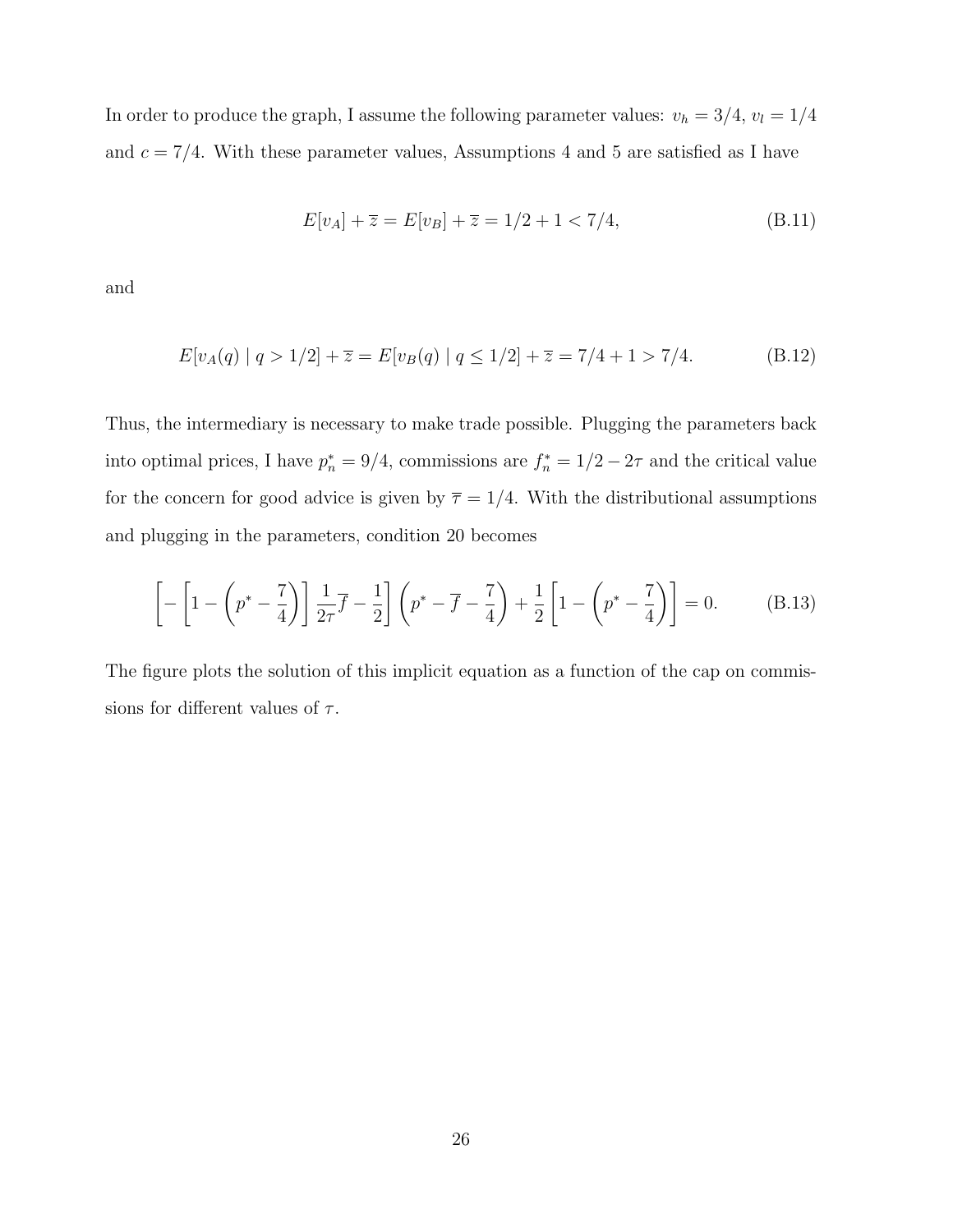In order to produce the graph, I assume the following parameter values:  $v_h = 3/4$ ,  $v_l = 1/4$ and  $c = 7/4$ . With these parameter values, Assumptions 4 and 5 are satisfied as I have

$$
E[v_A] + \overline{z} = E[v_B] + \overline{z} = 1/2 + 1 < 7/4,\tag{B.11}
$$

and

$$
E[v_A(q) | q > 1/2] + \overline{z} = E[v_B(q) | q \le 1/2] + \overline{z} = 7/4 + 1 > 7/4.
$$
 (B.12)

Thus, the intermediary is necessary to make trade possible. Plugging the parameters back into optimal prices, I have  $p_n^* = 9/4$ , commissions are  $f_n^* = 1/2 - 2\tau$  and the critical value for the concern for good advice is given by  $\overline{\tau} = 1/4$ . With the distributional assumptions and plugging in the parameters, condition 20 becomes

$$
\left[-\left[1-\left(p^*-\frac{7}{4}\right)\right]\frac{1}{2\tau}\overline{f}-\frac{1}{2}\right]\left(p^*-\overline{f}-\frac{7}{4}\right)+\frac{1}{2}\left[1-\left(p^*-\frac{7}{4}\right)\right]=0.\tag{B.13}
$$

The figure plots the solution of this implicit equation as a function of the cap on commissions for different values of  $\tau$ .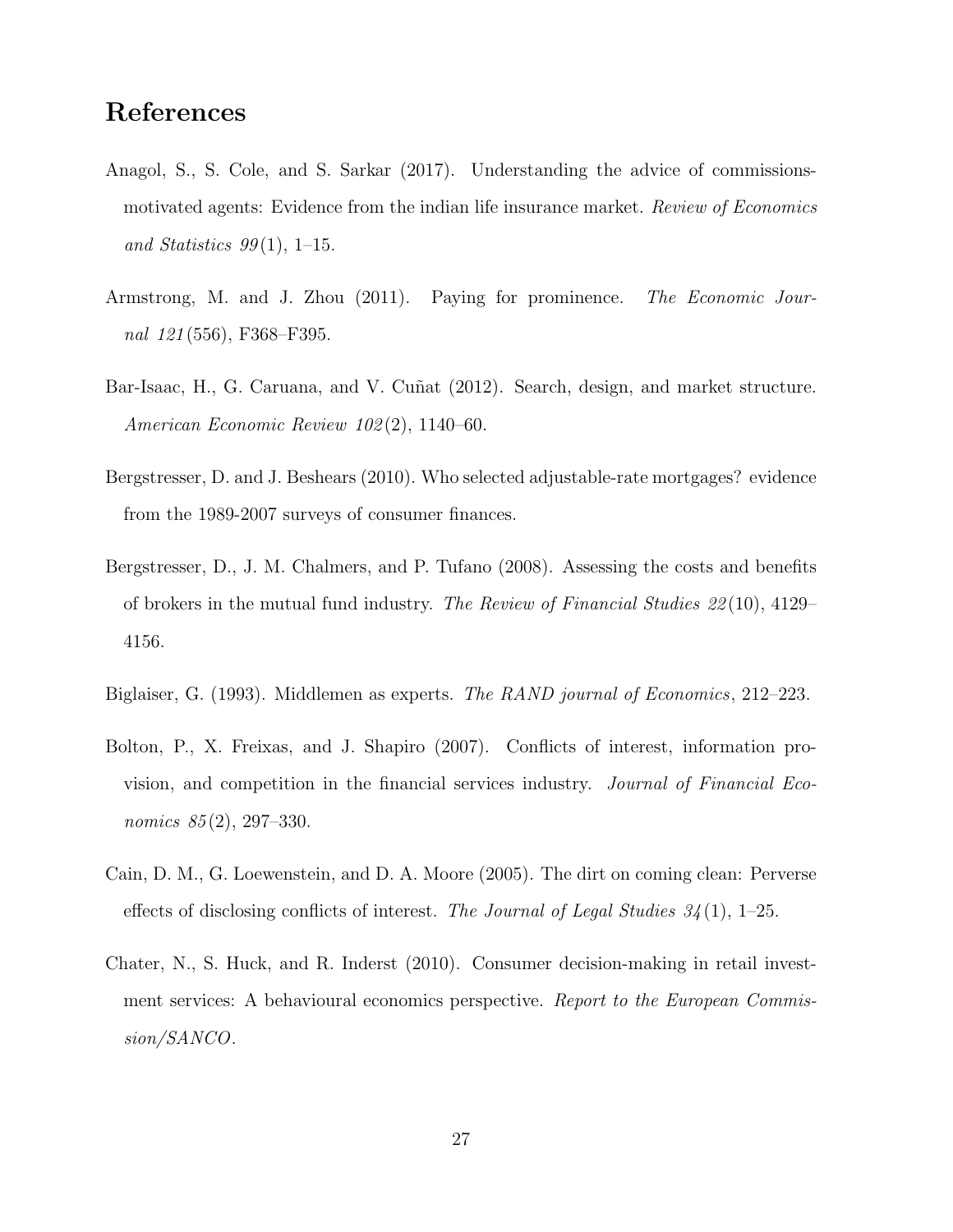## References

- Anagol, S., S. Cole, and S. Sarkar (2017). Understanding the advice of commissionsmotivated agents: Evidence from the indian life insurance market. Review of Economics and Statistics  $99(1)$ , 1–15.
- Armstrong, M. and J. Zhou (2011). Paying for prominence. The Economic Journal 121 (556), F368–F395.
- Bar-Isaac, H., G. Caruana, and V. Cuñat (2012). Search, design, and market structure. American Economic Review 102 (2), 1140–60.
- Bergstresser, D. and J. Beshears (2010). Who selected adjustable-rate mortgages? evidence from the 1989-2007 surveys of consumer finances.
- Bergstresser, D., J. M. Chalmers, and P. Tufano (2008). Assessing the costs and benefits of brokers in the mutual fund industry. The Review of Financial Studies 22 (10), 4129– 4156.
- Biglaiser, G. (1993). Middlemen as experts. The RAND journal of Economics, 212–223.
- Bolton, P., X. Freixas, and J. Shapiro (2007). Conflicts of interest, information provision, and competition in the financial services industry. Journal of Financial Economics 85(2), 297–330.
- Cain, D. M., G. Loewenstein, and D. A. Moore (2005). The dirt on coming clean: Perverse effects of disclosing conflicts of interest. The Journal of Legal Studies  $34(1)$ , 1–25.
- Chater, N., S. Huck, and R. Inderst (2010). Consumer decision-making in retail investment services: A behavioural economics perspective. Report to the European Commission/SANCO.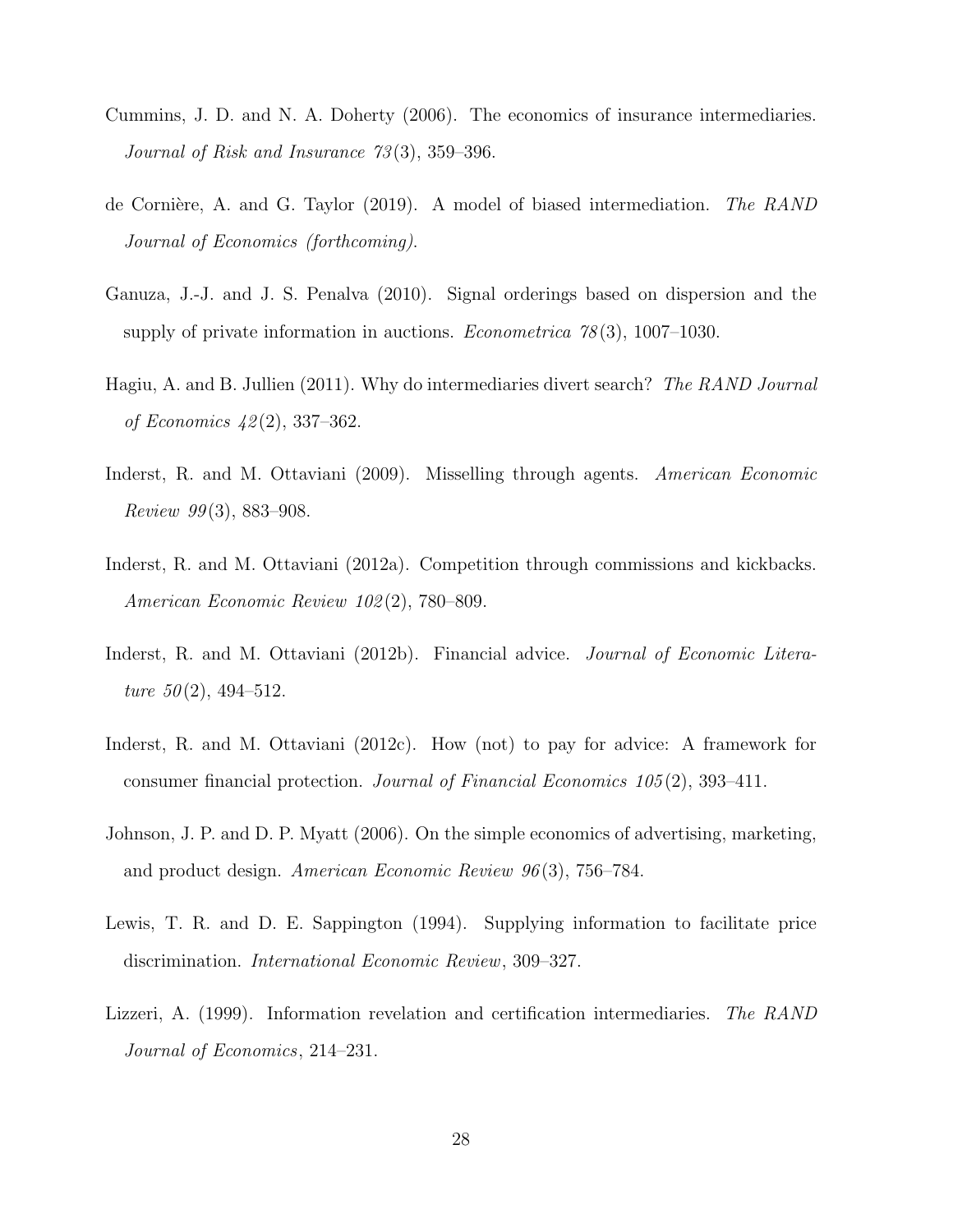- Cummins, J. D. and N. A. Doherty (2006). The economics of insurance intermediaries. Journal of Risk and Insurance 73 (3), 359–396.
- de Cornière, A. and G. Taylor (2019). A model of biased intermediation. The RAND Journal of Economics (forthcoming).
- Ganuza, J.-J. and J. S. Penalva (2010). Signal orderings based on dispersion and the supply of private information in auctions. *Econometrica*  $78(3)$ , 1007–1030.
- Hagiu, A. and B. Jullien (2011). Why do intermediaries divert search? The RAND Journal of Economics 42 (2), 337–362.
- Inderst, R. and M. Ottaviani (2009). Misselling through agents. American Economic Review  $99(3)$ , 883–908.
- Inderst, R. and M. Ottaviani (2012a). Competition through commissions and kickbacks. American Economic Review 102 (2), 780–809.
- Inderst, R. and M. Ottaviani (2012b). Financial advice. *Journal of Economic Litera*ture  $50(2)$ , 494-512.
- Inderst, R. and M. Ottaviani (2012c). How (not) to pay for advice: A framework for consumer financial protection. Journal of Financial Economics 105 (2), 393–411.
- Johnson, J. P. and D. P. Myatt (2006). On the simple economics of advertising, marketing, and product design. American Economic Review 96 (3), 756–784.
- Lewis, T. R. and D. E. Sappington (1994). Supplying information to facilitate price discrimination. International Economic Review, 309–327.
- Lizzeri, A. (1999). Information revelation and certification intermediaries. The RAND Journal of Economics, 214–231.